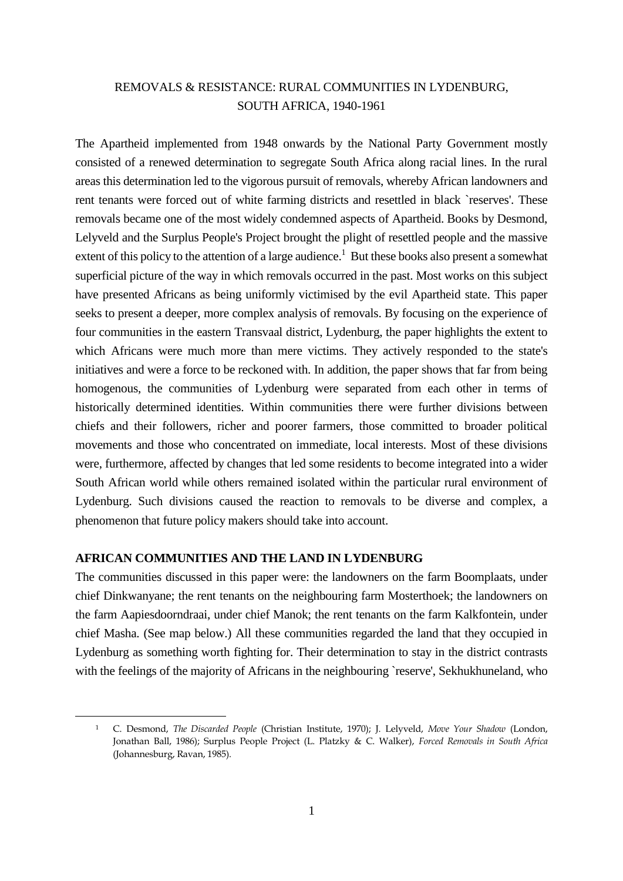# REMOVALS & RESISTANCE: RURAL COMMUNITIES IN LYDENBURG, SOUTH AFRICA, 1940-1961

The Apartheid implemented from 1948 onwards by the National Party Government mostly consisted of a renewed determination to segregate South Africa along racial lines. In the rural areas this determination led to the vigorous pursuit of removals, whereby African landowners and rent tenants were forced out of white farming districts and resettled in black `reserves'. These removals became one of the most widely condemned aspects of Apartheid. Books by Desmond, Lelyveld and the Surplus People's Project brought the plight of resettled people and the massive extent of this policy to the attention of a large audience.<sup>1</sup> But these books also present a somewhat superficial picture of the way in which removals occurred in the past. Most works on this subject have presented Africans as being uniformly victimised by the evil Apartheid state. This paper seeks to present a deeper, more complex analysis of removals. By focusing on the experience of four communities in the eastern Transvaal district, Lydenburg, the paper highlights the extent to which Africans were much more than mere victims. They actively responded to the state's initiatives and were a force to be reckoned with. In addition, the paper shows that far from being homogenous, the communities of Lydenburg were separated from each other in terms of historically determined identities. Within communities there were further divisions between chiefs and their followers, richer and poorer farmers, those committed to broader political movements and those who concentrated on immediate, local interests. Most of these divisions were, furthermore, affected by changes that led some residents to become integrated into a wider South African world while others remained isolated within the particular rural environment of Lydenburg. Such divisions caused the reaction to removals to be diverse and complex, a phenomenon that future policy makers should take into account.

#### **AFRICAN COMMUNITIES AND THE LAND IN LYDENBURG**

1

The communities discussed in this paper were: the landowners on the farm Boomplaats, under chief Dinkwanyane; the rent tenants on the neighbouring farm Mosterthoek; the landowners on the farm Aapiesdoorndraai, under chief Manok; the rent tenants on the farm Kalkfontein, under chief Masha. (See map below.) All these communities regarded the land that they occupied in Lydenburg as something worth fighting for. Their determination to stay in the district contrasts with the feelings of the majority of Africans in the neighbouring `reserve', Sekhukhuneland, who

<sup>1</sup> C. Desmond, *The Discarded People* (Christian Institute, 1970); J. Lelyveld, *Move Your Shadow* (London, Jonathan Ball, 1986); Surplus People Project (L. Platzky & C. Walker), *Forced Removals in South Africa* (Johannesburg, Ravan, 1985).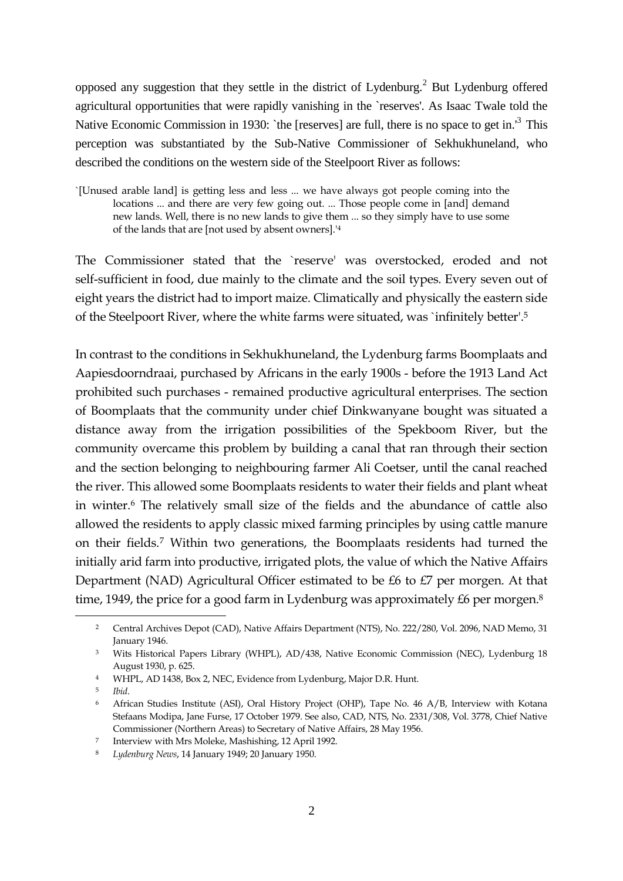opposed any suggestion that they settle in the district of Lydenburg.<sup>2</sup> But Lydenburg offered agricultural opportunities that were rapidly vanishing in the `reserves'. As Isaac Twale told the Native Economic Commission in 1930: `the [reserves] are full, there is no space to get in.<sup>'3</sup> This perception was substantiated by the Sub-Native Commissioner of Sekhukhuneland, who described the conditions on the western side of the Steelpoort River as follows:

The Commissioner stated that the `reserve' was overstocked, eroded and not self-sufficient in food, due mainly to the climate and the soil types. Every seven out of eight years the district had to import maize. Climatically and physically the eastern side of the Steelpoort River, where the white farms were situated, was `infinitely better'.<sup>5</sup>

In contrast to the conditions in Sekhukhuneland, the Lydenburg farms Boomplaats and Aapiesdoorndraai, purchased by Africans in the early 1900s - before the 1913 Land Act prohibited such purchases - remained productive agricultural enterprises. The section of Boomplaats that the community under chief Dinkwanyane bought was situated a distance away from the irrigation possibilities of the Spekboom River, but the community overcame this problem by building a canal that ran through their section and the section belonging to neighbouring farmer Ali Coetser, until the canal reached the river. This allowed some Boomplaats residents to water their fields and plant wheat in winter.<sup>6</sup> The relatively small size of the fields and the abundance of cattle also allowed the residents to apply classic mixed farming principles by using cattle manure on their fields.<sup>7</sup> Within two generations, the Boomplaats residents had turned the initially arid farm into productive, irrigated plots, the value of which the Native Affairs Department (NAD) Agricultural Officer estimated to be £6 to £7 per morgen. At that time, 1949, the price for a good farm in Lydenburg was approximately £6 per morgen.<sup>8</sup>

<sup>`[</sup>Unused arable land] is getting less and less ... we have always got people coming into the locations ... and there are very few going out. ... Those people come in [and] demand new lands. Well, there is no new lands to give them ... so they simply have to use some of the lands that are [not used by absent owners].'<sup>4</sup>

<sup>2</sup> Central Archives Depot (CAD), Native Affairs Department (NTS), No. 222/280, Vol. 2096, NAD Memo, 31 January 1946.

<sup>3</sup> Wits Historical Papers Library (WHPL), AD/438, Native Economic Commission (NEC), Lydenburg 18 August 1930, p. 625.

<sup>4</sup> WHPL, AD 1438, Box 2, NEC, Evidence from Lydenburg, Major D.R. Hunt.

<sup>5</sup> *Ibid*.

<sup>6</sup> African Studies Institute (ASI), Oral History Project (OHP), Tape No. 46 A/B, Interview with Kotana Stefaans Modipa, Jane Furse, 17 October 1979. See also, CAD, NTS, No. 2331/308, Vol. 3778, Chief Native Commissioner (Northern Areas) to Secretary of Native Affairs, 28 May 1956.

<sup>7</sup> Interview with Mrs Moleke, Mashishing, 12 April 1992.

<sup>8</sup> *Lydenburg News*, 14 January 1949; 20 January 1950.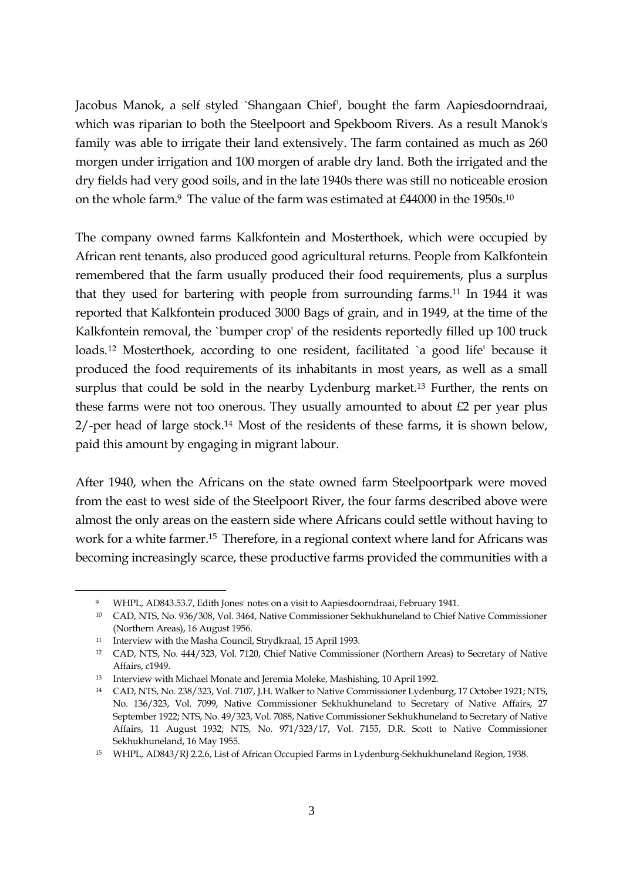Jacobus Manok, a self styled `Shangaan Chief', bought the farm Aapiesdoorndraai, which was riparian to both the Steelpoort and Spekboom Rivers. As a result Manok's family was able to irrigate their land extensively. The farm contained as much as 260 morgen under irrigation and 100 morgen of arable dry land. Both the irrigated and the dry fields had very good soils, and in the late 1940s there was still no noticeable erosion on the whole farm.<sup>9</sup> The value of the farm was estimated at £44000 in the 1950s.<sup>10</sup>

The company owned farms Kalkfontein and Mosterthoek, which were occupied by African rent tenants, also produced good agricultural returns. People from Kalkfontein remembered that the farm usually produced their food requirements, plus a surplus that they used for bartering with people from surrounding farms.<sup>11</sup> In 1944 it was reported that Kalkfontein produced 3000 Bags of grain, and in 1949, at the time of the Kalkfontein removal, the `bumper crop' of the residents reportedly filled up 100 truck loads.<sup>12</sup> Mosterthoek, according to one resident, facilitated `a good life' because it produced the food requirements of its inhabitants in most years, as well as a small surplus that could be sold in the nearby Lydenburg market.<sup>13</sup> Further, the rents on these farms were not too onerous. They usually amounted to about £2 per year plus 2/-per head of large stock.<sup>14</sup> Most of the residents of these farms, it is shown below, paid this amount by engaging in migrant labour.

After 1940, when the Africans on the state owned farm Steelpoortpark were moved from the east to west side of the Steelpoort River, the four farms described above were almost the only areas on the eastern side where Africans could settle without having to work for a white farmer.<sup>15</sup> Therefore, in a regional context where land for Africans was becoming increasingly scarce, these productive farms provided the communities with a

<sup>9</sup> WHPL, AD843.53.7, Edith Jones' notes on a visit to Aapiesdoorndraai, February 1941.

<sup>10</sup> CAD, NTS, No. 936/308, Vol. 3464, Native Commissioner Sekhukhuneland to Chief Native Commissioner (Northern Areas), 16 August 1956.

<sup>11</sup> Interview with the Masha Council, Strydkraal, 15 April 1993.

<sup>12</sup> CAD, NTS, No. 444/323, Vol. 7120, Chief Native Commissioner (Northern Areas) to Secretary of Native Affairs, c1949.

<sup>13</sup> Interview with Michael Monate and Jeremia Moleke, Mashishing, 10 April 1992.

<sup>14</sup> CAD, NTS, No. 238/323, Vol. 7107, J.H. Walker to Native Commissioner Lydenburg, 17 October 1921; NTS, No. 136/323, Vol. 7099, Native Commissioner Sekhukhuneland to Secretary of Native Affairs, 27 September 1922; NTS, No. 49/323, Vol. 7088, Native Commissioner Sekhukhuneland to Secretary of Native Affairs, 11 August 1932; NTS, No. 971/323/17, Vol. 7155, D.R. Scott to Native Commissioner Sekhukhuneland, 16 May 1955.

<sup>15</sup> WHPL, AD843/RJ 2.2.6, List of African Occupied Farms in Lydenburg-Sekhukhuneland Region, 1938.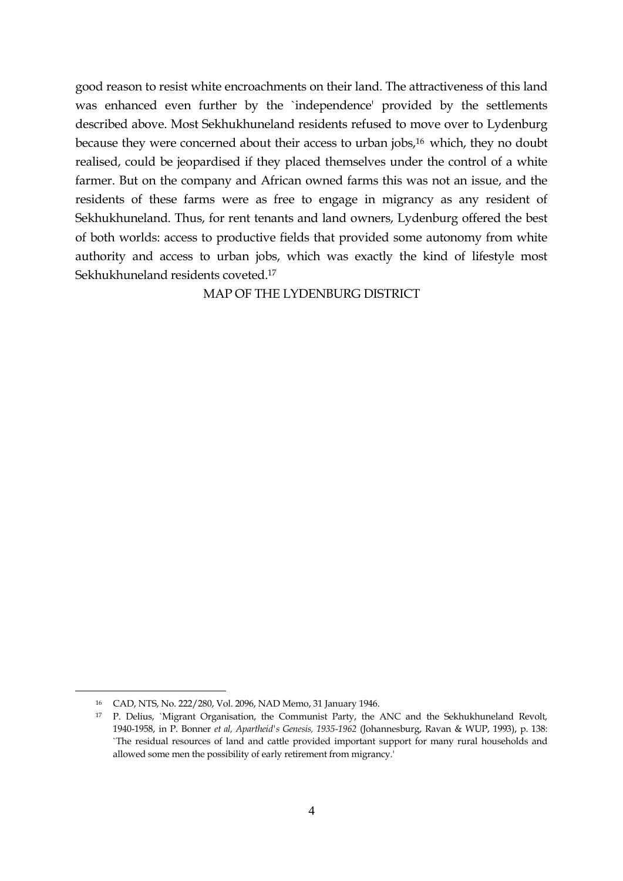good reason to resist white encroachments on their land. The attractiveness of this land was enhanced even further by the `independence' provided by the settlements described above. Most Sekhukhuneland residents refused to move over to Lydenburg because they were concerned about their access to urban jobs,<sup>16</sup> which, they no doubt realised, could be jeopardised if they placed themselves under the control of a white farmer. But on the company and African owned farms this was not an issue, and the residents of these farms were as free to engage in migrancy as any resident of Sekhukhuneland. Thus, for rent tenants and land owners, Lydenburg offered the best of both worlds: access to productive fields that provided some autonomy from white authority and access to urban jobs, which was exactly the kind of lifestyle most Sekhukhuneland residents coveted.<sup>17</sup>

MAP OF THE LYDENBURG DISTRICT

<sup>16</sup> CAD, NTS, No. 222/280, Vol. 2096, NAD Memo, 31 January 1946.

<sup>17</sup> P. Delius, `Migrant Organisation, the Communist Party, the ANC and the Sekhukhuneland Revolt, 1940-1958, in P. Bonner *et al, Apartheid's Genesis, 1935-1962* (Johannesburg, Ravan & WUP, 1993), p. 138: `The residual resources of land and cattle provided important support for many rural households and allowed some men the possibility of early retirement from migrancy.'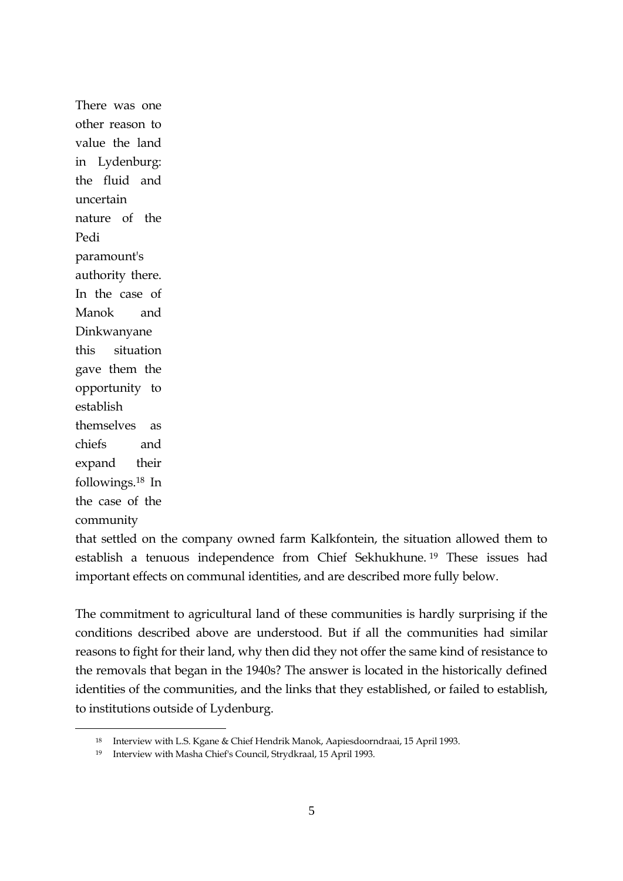There was one other reason to value the land in Lydenburg: the fluid and uncertain nature of the Pedi paramount's authority there. In the case of Manok and Dinkwanyane this situation gave them the opportunity to establish themselves as chiefs and expand their followings.<sup>18</sup> In the case of the community

1

that settled on the company owned farm Kalkfontein, the situation allowed them to establish a tenuous independence from Chief Sekhukhune. <sup>19</sup> These issues had important effects on communal identities, and are described more fully below.

The commitment to agricultural land of these communities is hardly surprising if the conditions described above are understood. But if all the communities had similar reasons to fight for their land, why then did they not offer the same kind of resistance to the removals that began in the 1940s? The answer is located in the historically defined identities of the communities, and the links that they established, or failed to establish, to institutions outside of Lydenburg.

<sup>18</sup> Interview with L.S. Kgane & Chief Hendrik Manok, Aapiesdoorndraai, 15 April 1993.

<sup>19</sup> Interview with Masha Chief's Council, Strydkraal, 15 April 1993.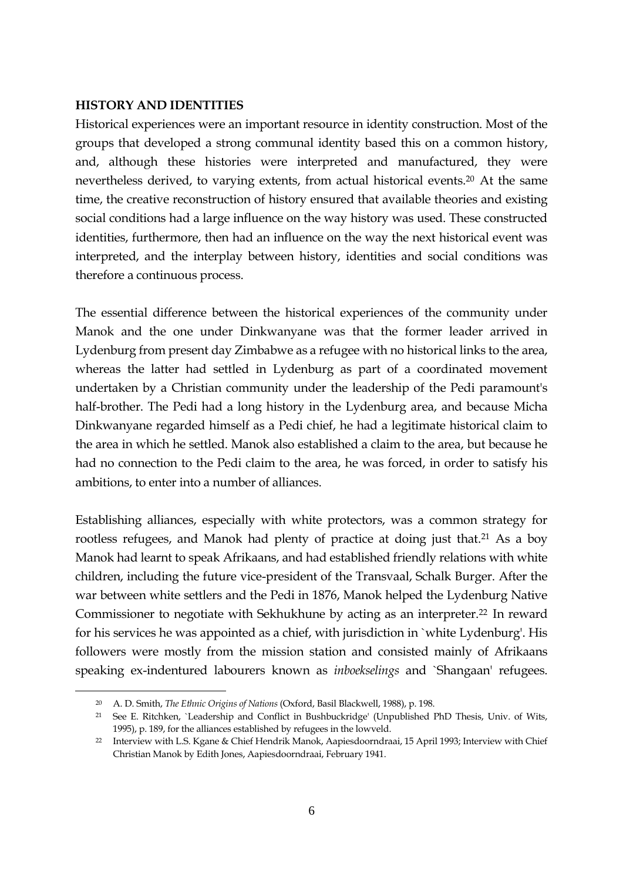#### **HISTORY AND IDENTITIES**

Historical experiences were an important resource in identity construction. Most of the groups that developed a strong communal identity based this on a common history, and, although these histories were interpreted and manufactured, they were nevertheless derived, to varying extents, from actual historical events.<sup>20</sup> At the same time, the creative reconstruction of history ensured that available theories and existing social conditions had a large influence on the way history was used. These constructed identities, furthermore, then had an influence on the way the next historical event was interpreted, and the interplay between history, identities and social conditions was therefore a continuous process.

The essential difference between the historical experiences of the community under Manok and the one under Dinkwanyane was that the former leader arrived in Lydenburg from present day Zimbabwe as a refugee with no historical links to the area, whereas the latter had settled in Lydenburg as part of a coordinated movement undertaken by a Christian community under the leadership of the Pedi paramount's half-brother. The Pedi had a long history in the Lydenburg area, and because Micha Dinkwanyane regarded himself as a Pedi chief, he had a legitimate historical claim to the area in which he settled. Manok also established a claim to the area, but because he had no connection to the Pedi claim to the area, he was forced, in order to satisfy his ambitions, to enter into a number of alliances.

Establishing alliances, especially with white protectors, was a common strategy for rootless refugees, and Manok had plenty of practice at doing just that.<sup>21</sup> As a boy Manok had learnt to speak Afrikaans, and had established friendly relations with white children, including the future vice-president of the Transvaal, Schalk Burger. After the war between white settlers and the Pedi in 1876, Manok helped the Lydenburg Native Commissioner to negotiate with Sekhukhune by acting as an interpreter.<sup>22</sup> In reward for his services he was appointed as a chief, with jurisdiction in `white Lydenburg'. His followers were mostly from the mission station and consisted mainly of Afrikaans speaking ex-indentured labourers known as *inboekselings* and `Shangaan' refugees.

<sup>20</sup> A. D. Smith, *The Ethnic Origins of Nations* (Oxford, Basil Blackwell, 1988), p. 198.

<sup>21</sup> See E. Ritchken, `Leadership and Conflict in Bushbuckridge' (Unpublished PhD Thesis, Univ. of Wits, 1995), p. 189, for the alliances established by refugees in the lowveld.

<sup>22</sup> Interview with L.S. Kgane & Chief Hendrik Manok, Aapiesdoorndraai, 15 April 1993; Interview with Chief Christian Manok by Edith Jones, Aapiesdoorndraai, February 1941.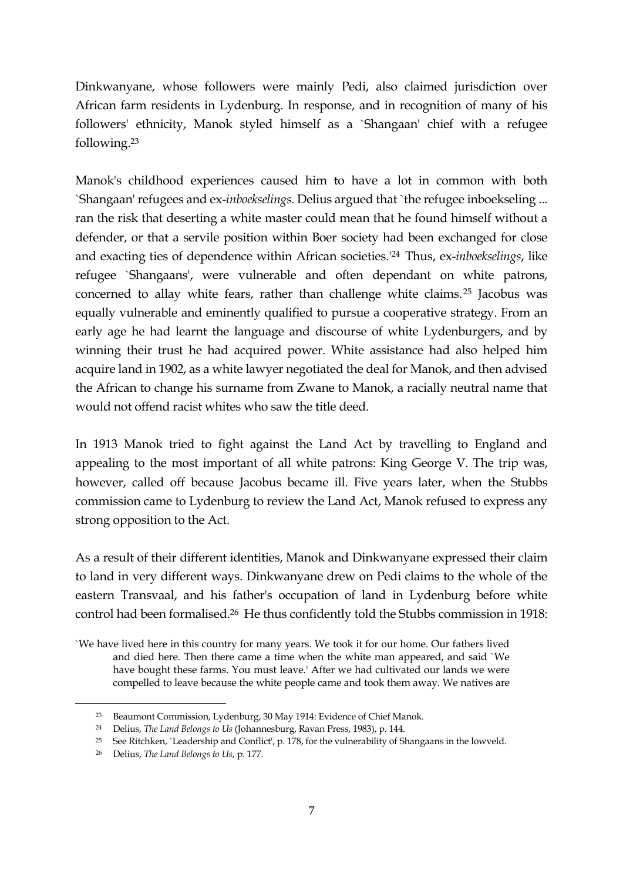Dinkwanyane, whose followers were mainly Pedi, also claimed jurisdiction over African farm residents in Lydenburg. In response, and in recognition of many of his followers' ethnicity, Manok styled himself as a `Shangaan' chief with a refugee following.<sup>23</sup>

Manok's childhood experiences caused him to have a lot in common with both `Shangaan' refugees and ex-*inboekselings*. Delius argued that `the refugee inboekseling ... ran the risk that deserting a white master could mean that he found himself without a defender, or that a servile position within Boer society had been exchanged for close and exacting ties of dependence within African societies.'<sup>24</sup> Thus, ex-*inboekselings*, like refugee `Shangaans', were vulnerable and often dependant on white patrons, concerned to allay white fears, rather than challenge white claims.<sup>25</sup> Jacobus was equally vulnerable and eminently qualified to pursue a cooperative strategy. From an early age he had learnt the language and discourse of white Lydenburgers, and by winning their trust he had acquired power. White assistance had also helped him acquire land in 1902, as a white lawyer negotiated the deal for Manok, and then advised the African to change his surname from Zwane to Manok, a racially neutral name that would not offend racist whites who saw the title deed.

In 1913 Manok tried to fight against the Land Act by travelling to England and appealing to the most important of all white patrons: King George V. The trip was, however, called off because Jacobus became ill. Five years later, when the Stubbs commission came to Lydenburg to review the Land Act, Manok refused to express any strong opposition to the Act.

As a result of their different identities, Manok and Dinkwanyane expressed their claim to land in very different ways. Dinkwanyane drew on Pedi claims to the whole of the eastern Transvaal, and his father's occupation of land in Lydenburg before white control had been formalised.<sup>26</sup> He thus confidently told the Stubbs commission in 1918:

`We have lived here in this country for many years. We took it for our home. Our fathers lived and died here. Then there came a time when the white man appeared, and said `We have bought these farms. You must leave.' After we had cultivated our lands we were compelled to leave because the white people came and took them away. We natives are

<sup>23</sup> Beaumont Commission, Lydenburg, 30 May 1914: Evidence of Chief Manok.

<sup>24</sup> Delius, *The Land Belongs to Us* (Johannesburg, Ravan Press, 1983), p. 144.

<sup>25</sup> See Ritchken, `Leadership and Conflict', p. 178, for the vulnerability of Shangaans in the lowveld.

<sup>26</sup> Delius, *The Land Belongs to Us*, p. 177.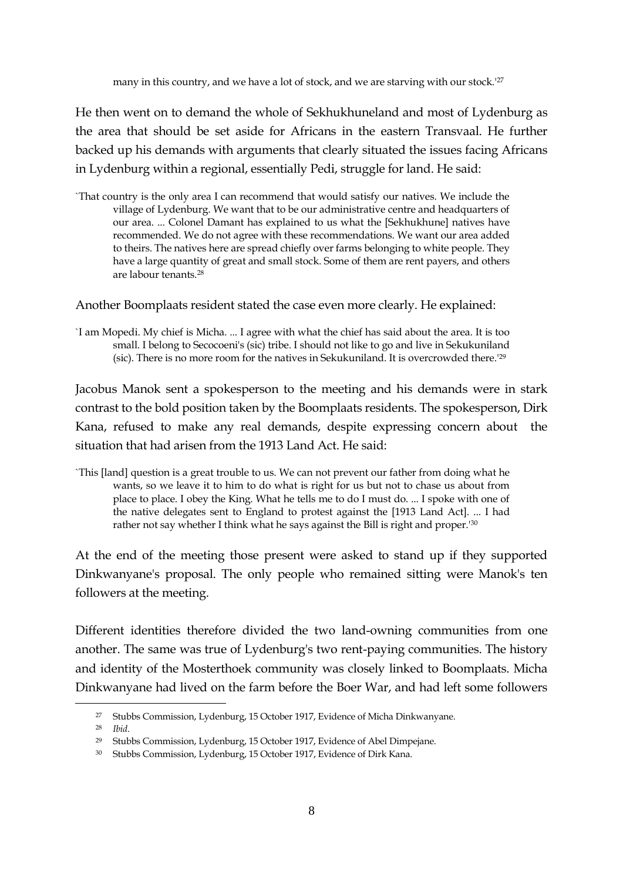many in this country, and we have a lot of stock, and we are starving with our stock.<sup>127</sup>

He then went on to demand the whole of Sekhukhuneland and most of Lydenburg as the area that should be set aside for Africans in the eastern Transvaal. He further backed up his demands with arguments that clearly situated the issues facing Africans in Lydenburg within a regional, essentially Pedi, struggle for land. He said:

`That country is the only area I can recommend that would satisfy our natives. We include the village of Lydenburg. We want that to be our administrative centre and headquarters of our area. ... Colonel Damant has explained to us what the [Sekhukhune] natives have recommended. We do not agree with these recommendations. We want our area added to theirs. The natives here are spread chiefly over farms belonging to white people. They have a large quantity of great and small stock. Some of them are rent payers, and others are labour tenants.<sup>28</sup>

Another Boomplaats resident stated the case even more clearly. He explained:

`I am Mopedi. My chief is Micha. ... I agree with what the chief has said about the area. It is too small. I belong to Secocoeni's (sic) tribe. I should not like to go and live in Sekukuniland (sic). There is no more room for the natives in Sekukuniland. It is overcrowded there.'<sup>29</sup>

Jacobus Manok sent a spokesperson to the meeting and his demands were in stark contrast to the bold position taken by the Boomplaats residents. The spokesperson, Dirk Kana, refused to make any real demands, despite expressing concern about the situation that had arisen from the 1913 Land Act. He said:

`This [land] question is a great trouble to us. We can not prevent our father from doing what he wants, so we leave it to him to do what is right for us but not to chase us about from place to place. I obey the King. What he tells me to do I must do. ... I spoke with one of the native delegates sent to England to protest against the [1913 Land Act]. ... I had rather not say whether I think what he says against the Bill is right and proper.'<sup>30</sup>

At the end of the meeting those present were asked to stand up if they supported Dinkwanyane's proposal. The only people who remained sitting were Manok's ten followers at the meeting.

Different identities therefore divided the two land-owning communities from one another. The same was true of Lydenburg's two rent-paying communities. The history and identity of the Mosterthoek community was closely linked to Boomplaats. Micha Dinkwanyane had lived on the farm before the Boer War, and had left some followers

<sup>27</sup> Stubbs Commission, Lydenburg, 15 October 1917, Evidence of Micha Dinkwanyane.

<sup>28</sup> *Ibid*.

<sup>29</sup> Stubbs Commission, Lydenburg, 15 October 1917, Evidence of Abel Dimpejane.

<sup>30</sup> Stubbs Commission, Lydenburg, 15 October 1917, Evidence of Dirk Kana.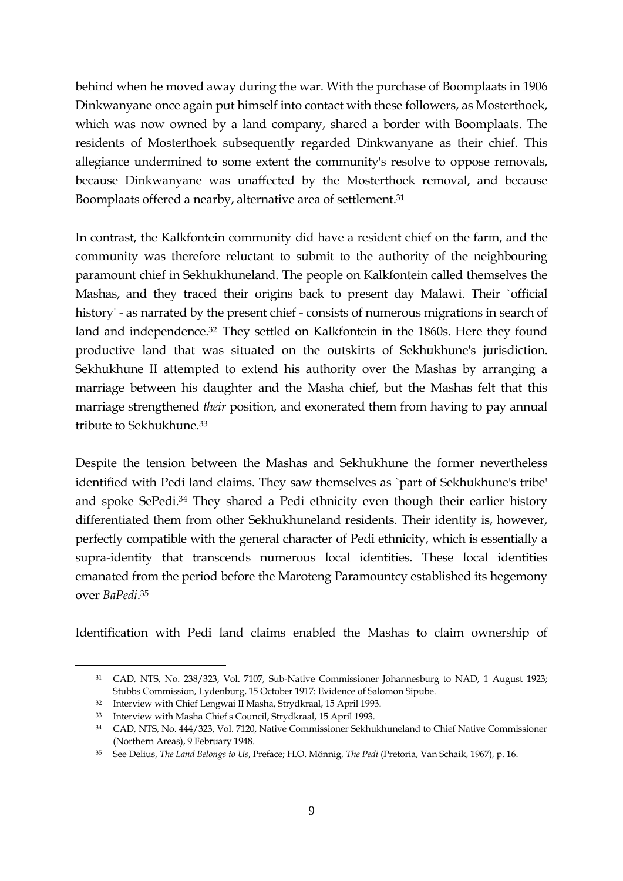behind when he moved away during the war. With the purchase of Boomplaats in 1906 Dinkwanyane once again put himself into contact with these followers, as Mosterthoek, which was now owned by a land company, shared a border with Boomplaats. The residents of Mosterthoek subsequently regarded Dinkwanyane as their chief. This allegiance undermined to some extent the community's resolve to oppose removals, because Dinkwanyane was unaffected by the Mosterthoek removal, and because Boomplaats offered a nearby, alternative area of settlement.<sup>31</sup>

In contrast, the Kalkfontein community did have a resident chief on the farm, and the community was therefore reluctant to submit to the authority of the neighbouring paramount chief in Sekhukhuneland. The people on Kalkfontein called themselves the Mashas, and they traced their origins back to present day Malawi. Their `official history' - as narrated by the present chief - consists of numerous migrations in search of land and independence.<sup>32</sup> They settled on Kalkfontein in the 1860s. Here they found productive land that was situated on the outskirts of Sekhukhune's jurisdiction. Sekhukhune II attempted to extend his authority over the Mashas by arranging a marriage between his daughter and the Masha chief, but the Mashas felt that this marriage strengthened *their* position, and exonerated them from having to pay annual tribute to Sekhukhune.<sup>33</sup>

Despite the tension between the Mashas and Sekhukhune the former nevertheless identified with Pedi land claims. They saw themselves as `part of Sekhukhune's tribe' and spoke SePedi.<sup>34</sup> They shared a Pedi ethnicity even though their earlier history differentiated them from other Sekhukhuneland residents. Their identity is, however, perfectly compatible with the general character of Pedi ethnicity, which is essentially a supra-identity that transcends numerous local identities. These local identities emanated from the period before the Maroteng Paramountcy established its hegemony over *BaPedi*. 35

Identification with Pedi land claims enabled the Mashas to claim ownership of

<sup>31</sup> CAD, NTS, No. 238/323, Vol. 7107, Sub-Native Commissioner Johannesburg to NAD, 1 August 1923; Stubbs Commission, Lydenburg, 15 October 1917: Evidence of Salomon Sipube.

<sup>32</sup> Interview with Chief Lengwai II Masha, Strydkraal, 15 April 1993.

<sup>33</sup> Interview with Masha Chief's Council, Strydkraal, 15 April 1993.

<sup>34</sup> CAD, NTS, No. 444/323, Vol. 7120, Native Commissioner Sekhukhuneland to Chief Native Commissioner (Northern Areas), 9 February 1948.

<sup>35</sup> See Delius, *The Land Belongs to Us*, Preface; H.O. Mönnig, *The Pedi* (Pretoria, Van Schaik, 1967), p. 16.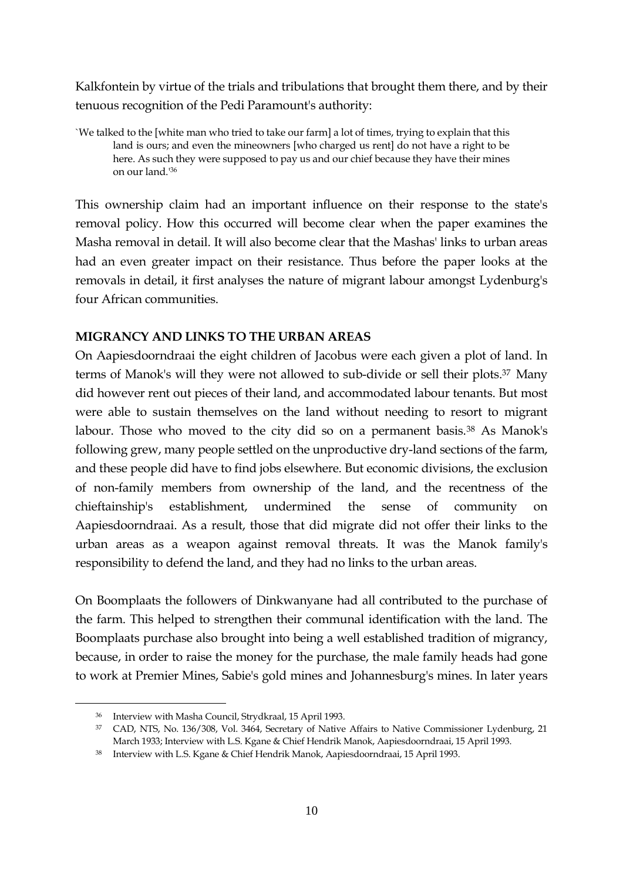Kalkfontein by virtue of the trials and tribulations that brought them there, and by their tenuous recognition of the Pedi Paramount's authority:

`We talked to the [white man who tried to take our farm] a lot of times, trying to explain that this land is ours; and even the mineowners [who charged us rent] do not have a right to be here. As such they were supposed to pay us and our chief because they have their mines on our land.'<sup>36</sup>

This ownership claim had an important influence on their response to the state's removal policy. How this occurred will become clear when the paper examines the Masha removal in detail. It will also become clear that the Mashas' links to urban areas had an even greater impact on their resistance. Thus before the paper looks at the removals in detail, it first analyses the nature of migrant labour amongst Lydenburg's four African communities.

## **MIGRANCY AND LINKS TO THE URBAN AREAS**

On Aapiesdoorndraai the eight children of Jacobus were each given a plot of land. In terms of Manok's will they were not allowed to sub-divide or sell their plots.<sup>37</sup> Many did however rent out pieces of their land, and accommodated labour tenants. But most were able to sustain themselves on the land without needing to resort to migrant labour. Those who moved to the city did so on a permanent basis.<sup>38</sup> As Manok's following grew, many people settled on the unproductive dry-land sections of the farm, and these people did have to find jobs elsewhere. But economic divisions, the exclusion of non-family members from ownership of the land, and the recentness of the chieftainship's establishment, undermined the sense of community on Aapiesdoorndraai. As a result, those that did migrate did not offer their links to the urban areas as a weapon against removal threats. It was the Manok family's responsibility to defend the land, and they had no links to the urban areas.

On Boomplaats the followers of Dinkwanyane had all contributed to the purchase of the farm. This helped to strengthen their communal identification with the land. The Boomplaats purchase also brought into being a well established tradition of migrancy, because, in order to raise the money for the purchase, the male family heads had gone to work at Premier Mines, Sabie's gold mines and Johannesburg's mines. In later years

<sup>36</sup> Interview with Masha Council, Strydkraal, 15 April 1993.

<sup>37</sup> CAD, NTS, No. 136/308, Vol. 3464, Secretary of Native Affairs to Native Commissioner Lydenburg, 21 March 1933; Interview with L.S. Kgane & Chief Hendrik Manok, Aapiesdoorndraai, 15 April 1993.

<sup>38</sup> Interview with L.S. Kgane & Chief Hendrik Manok, Aapiesdoorndraai, 15 April 1993.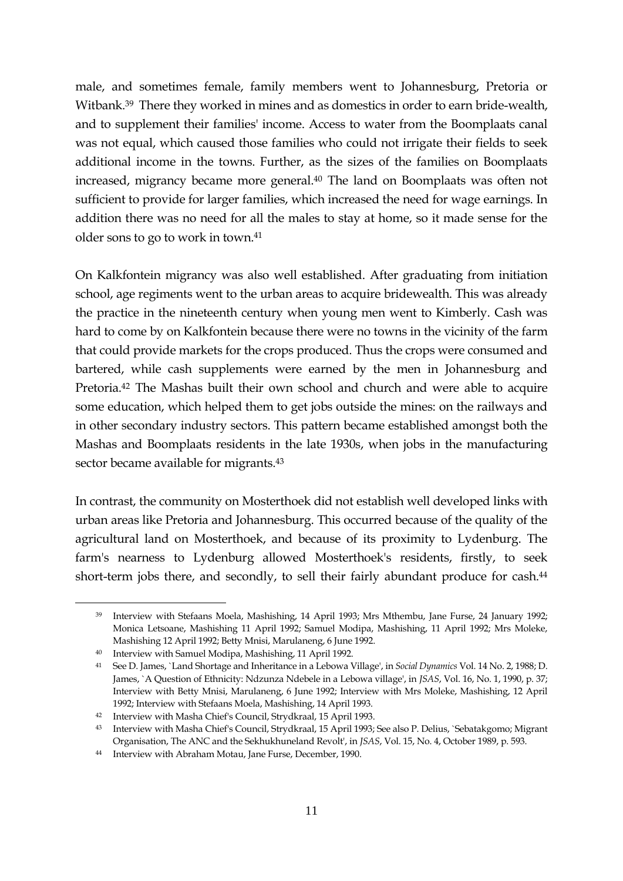male, and sometimes female, family members went to Johannesburg, Pretoria or Witbank.<sup>39</sup> There they worked in mines and as domestics in order to earn bride-wealth, and to supplement their families' income. Access to water from the Boomplaats canal was not equal, which caused those families who could not irrigate their fields to seek additional income in the towns. Further, as the sizes of the families on Boomplaats increased, migrancy became more general.<sup>40</sup> The land on Boomplaats was often not sufficient to provide for larger families, which increased the need for wage earnings. In addition there was no need for all the males to stay at home, so it made sense for the older sons to go to work in town.<sup>41</sup>

On Kalkfontein migrancy was also well established. After graduating from initiation school, age regiments went to the urban areas to acquire bridewealth. This was already the practice in the nineteenth century when young men went to Kimberly. Cash was hard to come by on Kalkfontein because there were no towns in the vicinity of the farm that could provide markets for the crops produced. Thus the crops were consumed and bartered, while cash supplements were earned by the men in Johannesburg and Pretoria.<sup>42</sup> The Mashas built their own school and church and were able to acquire some education, which helped them to get jobs outside the mines: on the railways and in other secondary industry sectors. This pattern became established amongst both the Mashas and Boomplaats residents in the late 1930s, when jobs in the manufacturing sector became available for migrants.<sup>43</sup>

In contrast, the community on Mosterthoek did not establish well developed links with urban areas like Pretoria and Johannesburg. This occurred because of the quality of the agricultural land on Mosterthoek, and because of its proximity to Lydenburg. The farm's nearness to Lydenburg allowed Mosterthoek's residents, firstly, to seek short-term jobs there, and secondly, to sell their fairly abundant produce for cash.<sup>44</sup>

<sup>39</sup> Interview with Stefaans Moela, Mashishing, 14 April 1993; Mrs Mthembu, Jane Furse, 24 January 1992; Monica Letsoane, Mashishing 11 April 1992; Samuel Modipa, Mashishing, 11 April 1992; Mrs Moleke, Mashishing 12 April 1992; Betty Mnisi, Marulaneng, 6 June 1992.

<sup>40</sup> Interview with Samuel Modipa, Mashishing, 11 April 1992.

<sup>41</sup> See D. James, `Land Shortage and Inheritance in a Lebowa Village', in *Social Dynamics* Vol. 14 No. 2, 1988; D. James, `A Question of Ethnicity: Ndzunza Ndebele in a Lebowa village', in *JSAS*, Vol. 16, No. 1, 1990, p. 37; Interview with Betty Mnisi, Marulaneng, 6 June 1992; Interview with Mrs Moleke, Mashishing, 12 April 1992; Interview with Stefaans Moela, Mashishing, 14 April 1993.

<sup>42</sup> Interview with Masha Chief's Council, Strydkraal, 15 April 1993.

<sup>43</sup> Interview with Masha Chief's Council, Strydkraal, 15 April 1993; See also P. Delius, `Sebatakgomo; Migrant Organisation, The ANC and the Sekhukhuneland Revolt', in *JSAS*, Vol. 15, No. 4, October 1989, p. 593.

<sup>44</sup> Interview with Abraham Motau, Jane Furse, December, 1990.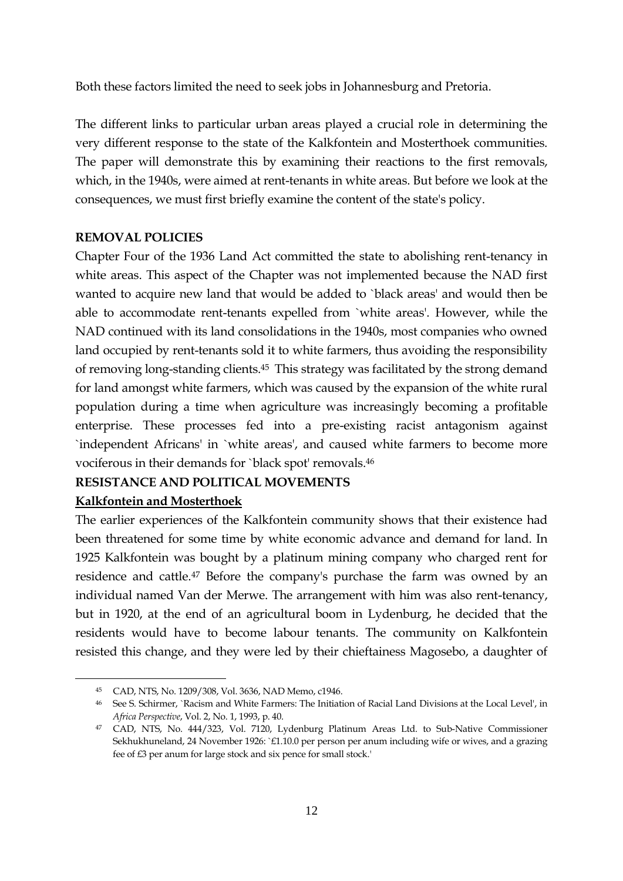Both these factors limited the need to seek jobs in Johannesburg and Pretoria.

The different links to particular urban areas played a crucial role in determining the very different response to the state of the Kalkfontein and Mosterthoek communities. The paper will demonstrate this by examining their reactions to the first removals, which, in the 1940s, were aimed at rent-tenants in white areas. But before we look at the consequences, we must first briefly examine the content of the state's policy.

### **REMOVAL POLICIES**

Chapter Four of the 1936 Land Act committed the state to abolishing rent-tenancy in white areas. This aspect of the Chapter was not implemented because the NAD first wanted to acquire new land that would be added to `black areas' and would then be able to accommodate rent-tenants expelled from `white areas'. However, while the NAD continued with its land consolidations in the 1940s, most companies who owned land occupied by rent-tenants sold it to white farmers, thus avoiding the responsibility of removing long-standing clients.<sup>45</sup> This strategy was facilitated by the strong demand for land amongst white farmers, which was caused by the expansion of the white rural population during a time when agriculture was increasingly becoming a profitable enterprise. These processes fed into a pre-existing racist antagonism against `independent Africans' in `white areas', and caused white farmers to become more vociferous in their demands for `black spot' removals.<sup>46</sup>

## **RESISTANCE AND POLITICAL MOVEMENTS**

## **Kalkfontein and Mosterthoek**

1

The earlier experiences of the Kalkfontein community shows that their existence had been threatened for some time by white economic advance and demand for land. In 1925 Kalkfontein was bought by a platinum mining company who charged rent for residence and cattle.<sup>47</sup> Before the company's purchase the farm was owned by an individual named Van der Merwe. The arrangement with him was also rent-tenancy, but in 1920, at the end of an agricultural boom in Lydenburg, he decided that the residents would have to become labour tenants. The community on Kalkfontein resisted this change, and they were led by their chieftainess Magosebo, a daughter of

<sup>45</sup> CAD, NTS, No. 1209/308, Vol. 3636, NAD Memo, c1946.

<sup>46</sup> See S. Schirmer, `Racism and White Farmers: The Initiation of Racial Land Divisions at the Local Level', in *Africa Perspective*, Vol. 2, No. 1, 1993, p. 40.

<sup>47</sup> CAD, NTS, No. 444/323, Vol. 7120, Lydenburg Platinum Areas Ltd. to Sub-Native Commissioner Sekhukhuneland, 24 November 1926: `£1.10.0 per person per anum including wife or wives, and a grazing fee of £3 per anum for large stock and six pence for small stock.'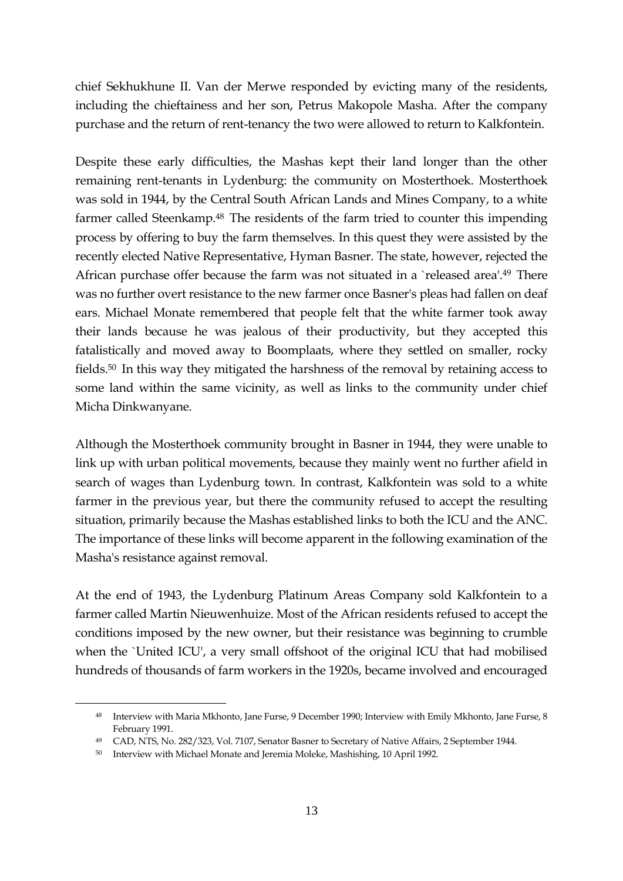chief Sekhukhune II. Van der Merwe responded by evicting many of the residents, including the chieftainess and her son, Petrus Makopole Masha. After the company purchase and the return of rent-tenancy the two were allowed to return to Kalkfontein.

Despite these early difficulties, the Mashas kept their land longer than the other remaining rent-tenants in Lydenburg: the community on Mosterthoek. Mosterthoek was sold in 1944, by the Central South African Lands and Mines Company, to a white farmer called Steenkamp.<sup>48</sup> The residents of the farm tried to counter this impending process by offering to buy the farm themselves. In this quest they were assisted by the recently elected Native Representative, Hyman Basner. The state, however, rejected the African purchase offer because the farm was not situated in a `released area'.<sup>49</sup> There was no further overt resistance to the new farmer once Basner's pleas had fallen on deaf ears. Michael Monate remembered that people felt that the white farmer took away their lands because he was jealous of their productivity, but they accepted this fatalistically and moved away to Boomplaats, where they settled on smaller, rocky fields.<sup>50</sup> In this way they mitigated the harshness of the removal by retaining access to some land within the same vicinity, as well as links to the community under chief Micha Dinkwanyane.

Although the Mosterthoek community brought in Basner in 1944, they were unable to link up with urban political movements, because they mainly went no further afield in search of wages than Lydenburg town. In contrast, Kalkfontein was sold to a white farmer in the previous year, but there the community refused to accept the resulting situation, primarily because the Mashas established links to both the ICU and the ANC. The importance of these links will become apparent in the following examination of the Masha's resistance against removal.

At the end of 1943, the Lydenburg Platinum Areas Company sold Kalkfontein to a farmer called Martin Nieuwenhuize. Most of the African residents refused to accept the conditions imposed by the new owner, but their resistance was beginning to crumble when the `United ICU', a very small offshoot of the original ICU that had mobilised hundreds of thousands of farm workers in the 1920s, became involved and encouraged

<sup>48</sup> Interview with Maria Mkhonto, Jane Furse, 9 December 1990; Interview with Emily Mkhonto, Jane Furse, 8 February 1991.

<sup>49</sup> CAD, NTS, No. 282/323, Vol. 7107, Senator Basner to Secretary of Native Affairs, 2 September 1944.

<sup>50</sup> Interview with Michael Monate and Jeremia Moleke, Mashishing, 10 April 1992.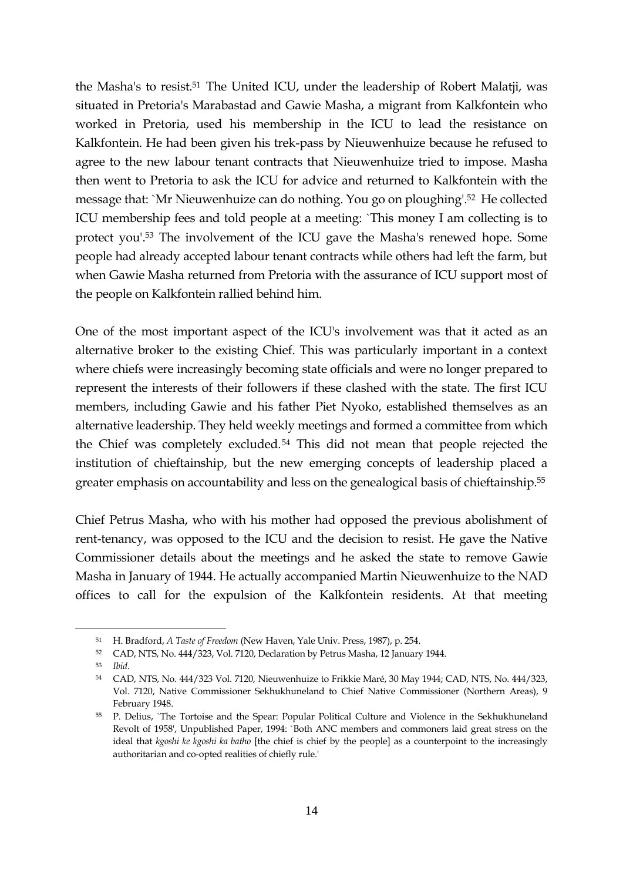the Masha's to resist.<sup>51</sup> The United ICU, under the leadership of Robert Malatji, was situated in Pretoria's Marabastad and Gawie Masha, a migrant from Kalkfontein who worked in Pretoria, used his membership in the ICU to lead the resistance on Kalkfontein. He had been given his trek-pass by Nieuwenhuize because he refused to agree to the new labour tenant contracts that Nieuwenhuize tried to impose. Masha then went to Pretoria to ask the ICU for advice and returned to Kalkfontein with the message that: `Mr Nieuwenhuize can do nothing. You go on ploughing'.<sup>52</sup> He collected ICU membership fees and told people at a meeting: `This money I am collecting is to protect you'.<sup>53</sup> The involvement of the ICU gave the Masha's renewed hope. Some people had already accepted labour tenant contracts while others had left the farm, but when Gawie Masha returned from Pretoria with the assurance of ICU support most of the people on Kalkfontein rallied behind him.

One of the most important aspect of the ICU's involvement was that it acted as an alternative broker to the existing Chief. This was particularly important in a context where chiefs were increasingly becoming state officials and were no longer prepared to represent the interests of their followers if these clashed with the state. The first ICU members, including Gawie and his father Piet Nyoko, established themselves as an alternative leadership. They held weekly meetings and formed a committee from which the Chief was completely excluded.<sup>54</sup> This did not mean that people rejected the institution of chieftainship, but the new emerging concepts of leadership placed a greater emphasis on accountability and less on the genealogical basis of chieftainship.<sup>55</sup>

Chief Petrus Masha, who with his mother had opposed the previous abolishment of rent-tenancy, was opposed to the ICU and the decision to resist. He gave the Native Commissioner details about the meetings and he asked the state to remove Gawie Masha in January of 1944. He actually accompanied Martin Nieuwenhuize to the NAD offices to call for the expulsion of the Kalkfontein residents. At that meeting

<sup>51</sup> H. Bradford, *A Taste of Freedom* (New Haven, Yale Univ. Press, 1987), p. 254.

<sup>52</sup> CAD, NTS, No. 444/323, Vol. 7120, Declaration by Petrus Masha, 12 January 1944.

<sup>53</sup> *Ibid*.

<sup>54</sup> CAD, NTS, No. 444/323 Vol. 7120, Nieuwenhuize to Frikkie Maré, 30 May 1944; CAD, NTS, No. 444/323, Vol. 7120, Native Commissioner Sekhukhuneland to Chief Native Commissioner (Northern Areas), 9 February 1948.

<sup>55</sup> P. Delius, `The Tortoise and the Spear: Popular Political Culture and Violence in the Sekhukhuneland Revolt of 1958', Unpublished Paper, 1994: `Both ANC members and commoners laid great stress on the ideal that *kgoshi ke kgoshi ka batho* [the chief is chief by the people] as a counterpoint to the increasingly authoritarian and co-opted realities of chiefly rule.'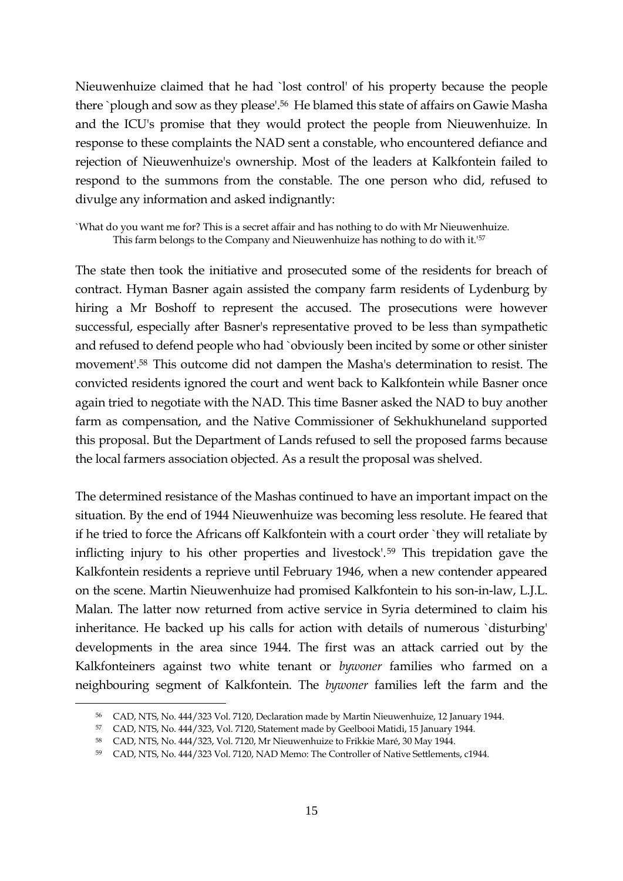Nieuwenhuize claimed that he had `lost control' of his property because the people there `plough and sow as they please'.<sup>56</sup> He blamed this state of affairs on Gawie Masha and the ICU's promise that they would protect the people from Nieuwenhuize. In response to these complaints the NAD sent a constable, who encountered defiance and rejection of Nieuwenhuize's ownership. Most of the leaders at Kalkfontein failed to respond to the summons from the constable. The one person who did, refused to divulge any information and asked indignantly:

`What do you want me for? This is a secret affair and has nothing to do with Mr Nieuwenhuize. This farm belongs to the Company and Nieuwenhuize has nothing to do with it.'<sup>57</sup>

The state then took the initiative and prosecuted some of the residents for breach of contract. Hyman Basner again assisted the company farm residents of Lydenburg by hiring a Mr Boshoff to represent the accused. The prosecutions were however successful, especially after Basner's representative proved to be less than sympathetic and refused to defend people who had `obviously been incited by some or other sinister movement'.<sup>58</sup> This outcome did not dampen the Masha's determination to resist. The convicted residents ignored the court and went back to Kalkfontein while Basner once again tried to negotiate with the NAD. This time Basner asked the NAD to buy another farm as compensation, and the Native Commissioner of Sekhukhuneland supported this proposal. But the Department of Lands refused to sell the proposed farms because the local farmers association objected. As a result the proposal was shelved.

The determined resistance of the Mashas continued to have an important impact on the situation. By the end of 1944 Nieuwenhuize was becoming less resolute. He feared that if he tried to force the Africans off Kalkfontein with a court order `they will retaliate by inflicting injury to his other properties and livestock'.<sup>59</sup> This trepidation gave the Kalkfontein residents a reprieve until February 1946, when a new contender appeared on the scene. Martin Nieuwenhuize had promised Kalkfontein to his son-in-law, L.J.L. Malan. The latter now returned from active service in Syria determined to claim his inheritance. He backed up his calls for action with details of numerous `disturbing' developments in the area since 1944. The first was an attack carried out by the Kalkfonteiners against two white tenant or *bywoner* families who farmed on a neighbouring segment of Kalkfontein. The *bywoner* families left the farm and the

<sup>56</sup> CAD, NTS, No. 444/323 Vol. 7120, Declaration made by Martin Nieuwenhuize, 12 January 1944.

<sup>57</sup> CAD, NTS, No. 444/323, Vol. 7120, Statement made by Geelbooi Matidi, 15 January 1944.

<sup>58</sup> CAD, NTS, No. 444/323, Vol. 7120, Mr Nieuwenhuize to Frikkie Maré, 30 May 1944.

<sup>59</sup> CAD, NTS, No. 444/323 Vol. 7120, NAD Memo: The Controller of Native Settlements, c1944.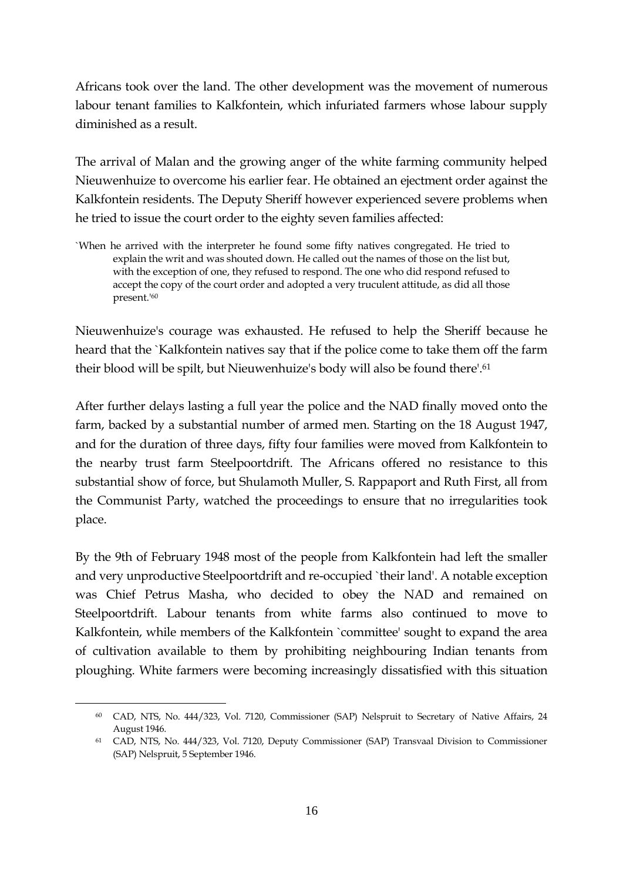Africans took over the land. The other development was the movement of numerous labour tenant families to Kalkfontein, which infuriated farmers whose labour supply diminished as a result.

The arrival of Malan and the growing anger of the white farming community helped Nieuwenhuize to overcome his earlier fear. He obtained an ejectment order against the Kalkfontein residents. The Deputy Sheriff however experienced severe problems when he tried to issue the court order to the eighty seven families affected:

`When he arrived with the interpreter he found some fifty natives congregated. He tried to explain the writ and was shouted down. He called out the names of those on the list but, with the exception of one, they refused to respond. The one who did respond refused to accept the copy of the court order and adopted a very truculent attitude, as did all those present.'<sup>60</sup>

Nieuwenhuize's courage was exhausted. He refused to help the Sheriff because he heard that the `Kalkfontein natives say that if the police come to take them off the farm their blood will be spilt, but Nieuwenhuize's body will also be found there'.<sup>61</sup>

After further delays lasting a full year the police and the NAD finally moved onto the farm, backed by a substantial number of armed men. Starting on the 18 August 1947, and for the duration of three days, fifty four families were moved from Kalkfontein to the nearby trust farm Steelpoortdrift. The Africans offered no resistance to this substantial show of force, but Shulamoth Muller, S. Rappaport and Ruth First, all from the Communist Party, watched the proceedings to ensure that no irregularities took place.

By the 9th of February 1948 most of the people from Kalkfontein had left the smaller and very unproductive Steelpoortdrift and re-occupied `their land'. A notable exception was Chief Petrus Masha, who decided to obey the NAD and remained on Steelpoortdrift. Labour tenants from white farms also continued to move to Kalkfontein, while members of the Kalkfontein `committee' sought to expand the area of cultivation available to them by prohibiting neighbouring Indian tenants from ploughing. White farmers were becoming increasingly dissatisfied with this situation

<sup>60</sup> CAD, NTS, No. 444/323, Vol. 7120, Commissioner (SAP) Nelspruit to Secretary of Native Affairs, 24 August 1946.

<sup>61</sup> CAD, NTS, No. 444/323, Vol. 7120, Deputy Commissioner (SAP) Transvaal Division to Commissioner (SAP) Nelspruit, 5 September 1946.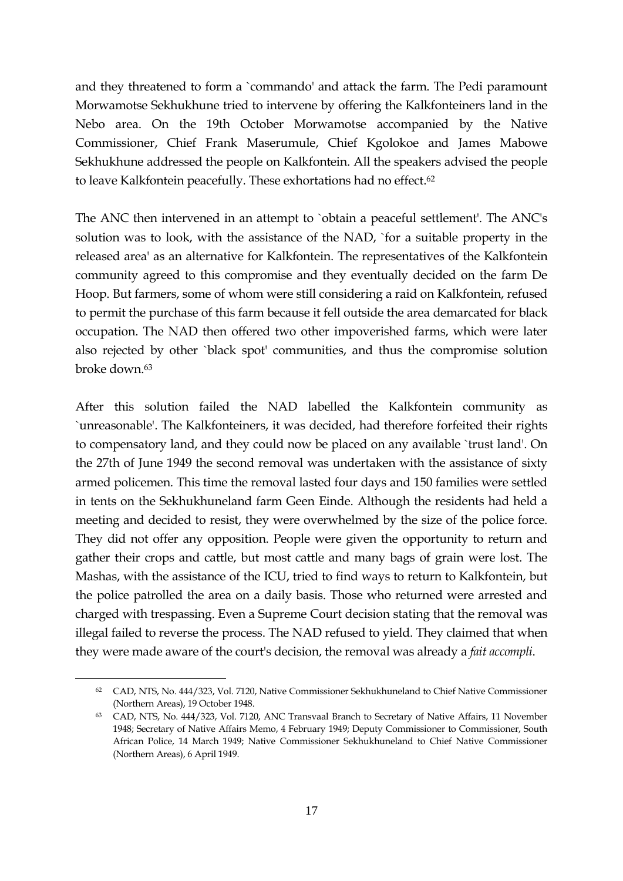and they threatened to form a `commando' and attack the farm. The Pedi paramount Morwamotse Sekhukhune tried to intervene by offering the Kalkfonteiners land in the Nebo area. On the 19th October Morwamotse accompanied by the Native Commissioner, Chief Frank Maserumule, Chief Kgolokoe and James Mabowe Sekhukhune addressed the people on Kalkfontein. All the speakers advised the people to leave Kalkfontein peacefully. These exhortations had no effect.<sup>62</sup>

The ANC then intervened in an attempt to `obtain a peaceful settlement'. The ANC's solution was to look, with the assistance of the NAD, `for a suitable property in the released area' as an alternative for Kalkfontein. The representatives of the Kalkfontein community agreed to this compromise and they eventually decided on the farm De Hoop. But farmers, some of whom were still considering a raid on Kalkfontein, refused to permit the purchase of this farm because it fell outside the area demarcated for black occupation. The NAD then offered two other impoverished farms, which were later also rejected by other `black spot' communities, and thus the compromise solution broke down.<sup>63</sup>

After this solution failed the NAD labelled the Kalkfontein community as `unreasonable'. The Kalkfonteiners, it was decided, had therefore forfeited their rights to compensatory land, and they could now be placed on any available `trust land'. On the 27th of June 1949 the second removal was undertaken with the assistance of sixty armed policemen. This time the removal lasted four days and 150 families were settled in tents on the Sekhukhuneland farm Geen Einde. Although the residents had held a meeting and decided to resist, they were overwhelmed by the size of the police force. They did not offer any opposition. People were given the opportunity to return and gather their crops and cattle, but most cattle and many bags of grain were lost. The Mashas, with the assistance of the ICU, tried to find ways to return to Kalkfontein, but the police patrolled the area on a daily basis. Those who returned were arrested and charged with trespassing. Even a Supreme Court decision stating that the removal was illegal failed to reverse the process. The NAD refused to yield. They claimed that when they were made aware of the court's decision, the removal was already a *fait accompli*.

<sup>62</sup> CAD, NTS, No. 444/323, Vol. 7120, Native Commissioner Sekhukhuneland to Chief Native Commissioner (Northern Areas), 19 October 1948.

<sup>63</sup> CAD, NTS, No. 444/323, Vol. 7120, ANC Transvaal Branch to Secretary of Native Affairs, 11 November 1948; Secretary of Native Affairs Memo, 4 February 1949; Deputy Commissioner to Commissioner, South African Police, 14 March 1949; Native Commissioner Sekhukhuneland to Chief Native Commissioner (Northern Areas), 6 April 1949.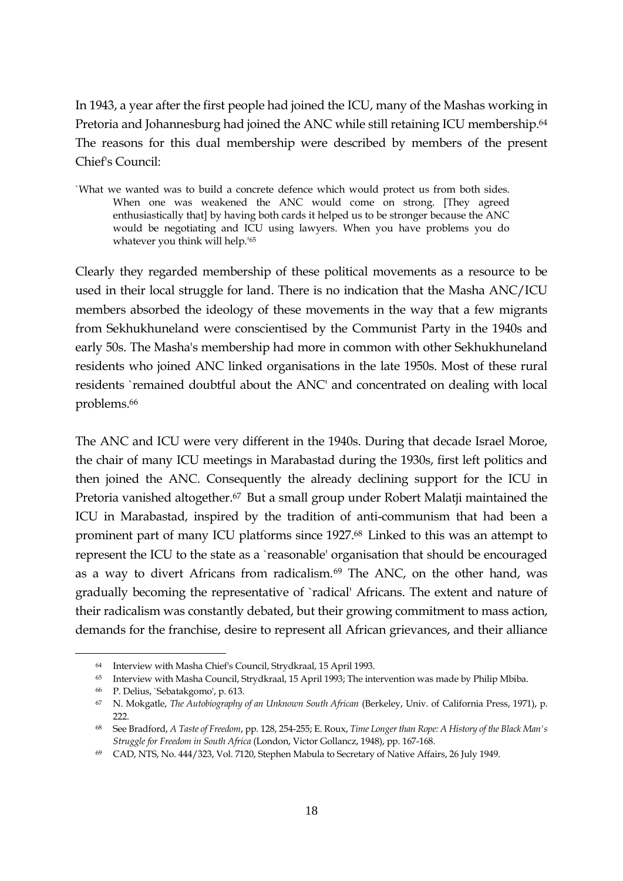In 1943, a year after the first people had joined the ICU, many of the Mashas working in Pretoria and Johannesburg had joined the ANC while still retaining ICU membership.<sup>64</sup> The reasons for this dual membership were described by members of the present Chief's Council:

`What we wanted was to build a concrete defence which would protect us from both sides. When one was weakened the ANC would come on strong. [They agreed enthusiastically that] by having both cards it helped us to be stronger because the ANC would be negotiating and ICU using lawyers. When you have problems you do whatever you think will help.'<sup>65</sup>

Clearly they regarded membership of these political movements as a resource to be used in their local struggle for land. There is no indication that the Masha ANC/ICU members absorbed the ideology of these movements in the way that a few migrants from Sekhukhuneland were conscientised by the Communist Party in the 1940s and early 50s. The Masha's membership had more in common with other Sekhukhuneland residents who joined ANC linked organisations in the late 1950s. Most of these rural residents `remained doubtful about the ANC' and concentrated on dealing with local problems.<sup>66</sup>

The ANC and ICU were very different in the 1940s. During that decade Israel Moroe, the chair of many ICU meetings in Marabastad during the 1930s, first left politics and then joined the ANC. Consequently the already declining support for the ICU in Pretoria vanished altogether.<sup>67</sup> But a small group under Robert Malatji maintained the ICU in Marabastad, inspired by the tradition of anti-communism that had been a prominent part of many ICU platforms since 1927.<sup>68</sup> Linked to this was an attempt to represent the ICU to the state as a `reasonable' organisation that should be encouraged as a way to divert Africans from radicalism.<sup>69</sup> The ANC, on the other hand, was gradually becoming the representative of `radical' Africans. The extent and nature of their radicalism was constantly debated, but their growing commitment to mass action, demands for the franchise, desire to represent all African grievances, and their alliance

<sup>64</sup> Interview with Masha Chief's Council, Strydkraal, 15 April 1993.

<sup>65</sup> Interview with Masha Council, Strydkraal, 15 April 1993; The intervention was made by Philip Mbiba.

<sup>66</sup> P. Delius, `Sebatakgomo', p. 613.

<sup>67</sup> N. Mokgatle, *The Autobiography of an Unknown South African* (Berkeley, Univ. of California Press, 1971), p. 222.

<sup>68</sup> See Bradford, *A Taste of Freedom*, pp. 128, 254-255; E. Roux, *Time Longer than Rope: A History of the Black Man's Struggle for Freedom in South Africa* (London, Victor Gollancz, 1948), pp. 167-168.

<sup>69</sup> CAD, NTS, No. 444/323, Vol. 7120, Stephen Mabula to Secretary of Native Affairs, 26 July 1949.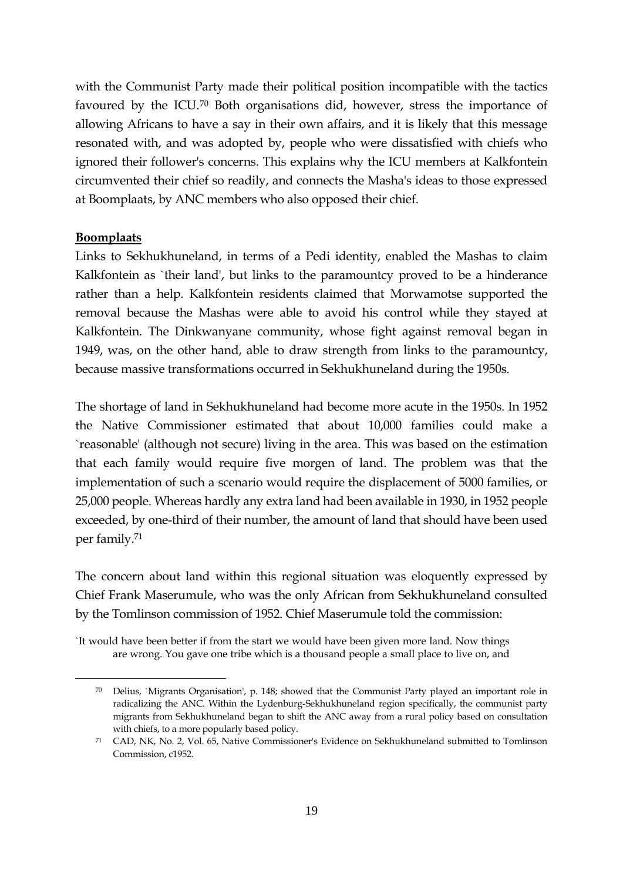with the Communist Party made their political position incompatible with the tactics favoured by the ICU.<sup>70</sup> Both organisations did, however, stress the importance of allowing Africans to have a say in their own affairs, and it is likely that this message resonated with, and was adopted by, people who were dissatisfied with chiefs who ignored their follower's concerns. This explains why the ICU members at Kalkfontein circumvented their chief so readily, and connects the Masha's ideas to those expressed at Boomplaats, by ANC members who also opposed their chief.

#### **Boomplaats**

1

Links to Sekhukhuneland, in terms of a Pedi identity, enabled the Mashas to claim Kalkfontein as `their land', but links to the paramountcy proved to be a hinderance rather than a help. Kalkfontein residents claimed that Morwamotse supported the removal because the Mashas were able to avoid his control while they stayed at Kalkfontein. The Dinkwanyane community, whose fight against removal began in 1949, was, on the other hand, able to draw strength from links to the paramountcy, because massive transformations occurred in Sekhukhuneland during the 1950s.

The shortage of land in Sekhukhuneland had become more acute in the 1950s. In 1952 the Native Commissioner estimated that about 10,000 families could make a `reasonable' (although not secure) living in the area. This was based on the estimation that each family would require five morgen of land. The problem was that the implementation of such a scenario would require the displacement of 5000 families, or 25,000 people. Whereas hardly any extra land had been available in 1930, in 1952 people exceeded, by one-third of their number, the amount of land that should have been used per family.<sup>71</sup>

The concern about land within this regional situation was eloquently expressed by Chief Frank Maserumule, who was the only African from Sekhukhuneland consulted by the Tomlinson commission of 1952. Chief Maserumule told the commission:

`It would have been better if from the start we would have been given more land. Now things are wrong. You gave one tribe which is a thousand people a small place to live on, and

<sup>70</sup> Delius, `Migrants Organisation', p. 148; showed that the Communist Party played an important role in radicalizing the ANC. Within the Lydenburg-Sekhukhuneland region specifically, the communist party migrants from Sekhukhuneland began to shift the ANC away from a rural policy based on consultation with chiefs, to a more popularly based policy.

<sup>71</sup> CAD, NK, No. 2, Vol. 65, Native Commissioner's Evidence on Sekhukhuneland submitted to Tomlinson Commission, c1952.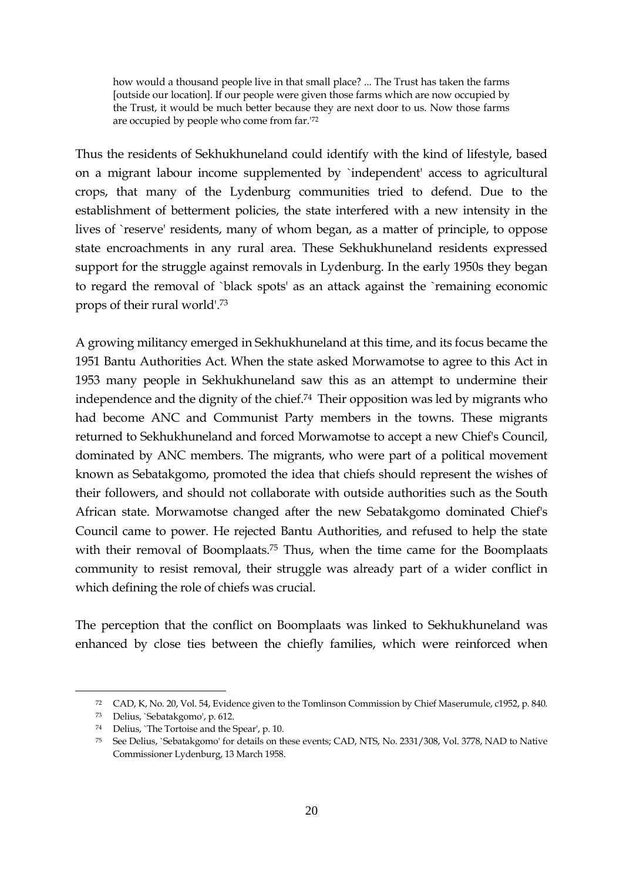how would a thousand people live in that small place? ... The Trust has taken the farms [outside our location]. If our people were given those farms which are now occupied by the Trust, it would be much better because they are next door to us. Now those farms are occupied by people who come from far.'<sup>72</sup>

Thus the residents of Sekhukhuneland could identify with the kind of lifestyle, based on a migrant labour income supplemented by `independent' access to agricultural crops, that many of the Lydenburg communities tried to defend. Due to the establishment of betterment policies, the state interfered with a new intensity in the lives of `reserve' residents, many of whom began, as a matter of principle, to oppose state encroachments in any rural area. These Sekhukhuneland residents expressed support for the struggle against removals in Lydenburg. In the early 1950s they began to regard the removal of `black spots' as an attack against the `remaining economic props of their rural world'.<sup>73</sup>

A growing militancy emerged in Sekhukhuneland at this time, and its focus became the 1951 Bantu Authorities Act. When the state asked Morwamotse to agree to this Act in 1953 many people in Sekhukhuneland saw this as an attempt to undermine their independence and the dignity of the chief.<sup>74</sup> Their opposition was led by migrants who had become ANC and Communist Party members in the towns. These migrants returned to Sekhukhuneland and forced Morwamotse to accept a new Chief's Council, dominated by ANC members. The migrants, who were part of a political movement known as Sebatakgomo, promoted the idea that chiefs should represent the wishes of their followers, and should not collaborate with outside authorities such as the South African state. Morwamotse changed after the new Sebatakgomo dominated Chief's Council came to power. He rejected Bantu Authorities, and refused to help the state with their removal of Boomplaats.<sup>75</sup> Thus, when the time came for the Boomplaats community to resist removal, their struggle was already part of a wider conflict in which defining the role of chiefs was crucial.

The perception that the conflict on Boomplaats was linked to Sekhukhuneland was enhanced by close ties between the chiefly families, which were reinforced when

<sup>72</sup> CAD, K, No. 20, Vol. 54, Evidence given to the Tomlinson Commission by Chief Maserumule, c1952, p. 840.

<sup>73</sup> Delius, `Sebatakgomo', p. 612.

<sup>74</sup> Delius, `The Tortoise and the Spear', p. 10.

<sup>75</sup> See Delius, `Sebatakgomo' for details on these events; CAD, NTS, No. 2331/308, Vol. 3778, NAD to Native Commissioner Lydenburg, 13 March 1958.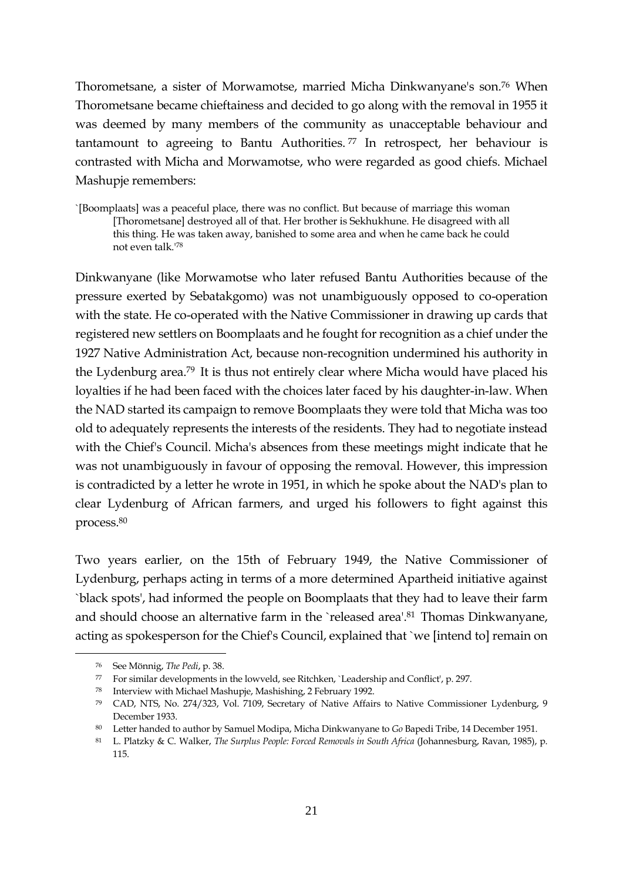Thorometsane, a sister of Morwamotse, married Micha Dinkwanyane's son.<sup>76</sup> When Thorometsane became chieftainess and decided to go along with the removal in 1955 it was deemed by many members of the community as unacceptable behaviour and tantamount to agreeing to Bantu Authorities. <sup>77</sup> In retrospect, her behaviour is contrasted with Micha and Morwamotse, who were regarded as good chiefs. Michael Mashupje remembers:

`[Boomplaats] was a peaceful place, there was no conflict. But because of marriage this woman [Thorometsane] destroyed all of that. Her brother is Sekhukhune. He disagreed with all this thing. He was taken away, banished to some area and when he came back he could not even talk.'<sup>78</sup>

Dinkwanyane (like Morwamotse who later refused Bantu Authorities because of the pressure exerted by Sebatakgomo) was not unambiguously opposed to co-operation with the state. He co-operated with the Native Commissioner in drawing up cards that registered new settlers on Boomplaats and he fought for recognition as a chief under the 1927 Native Administration Act, because non-recognition undermined his authority in the Lydenburg area.<sup>79</sup> It is thus not entirely clear where Micha would have placed his loyalties if he had been faced with the choices later faced by his daughter-in-law. When the NAD started its campaign to remove Boomplaats they were told that Micha was too old to adequately represents the interests of the residents. They had to negotiate instead with the Chief's Council. Micha's absences from these meetings might indicate that he was not unambiguously in favour of opposing the removal. However, this impression is contradicted by a letter he wrote in 1951, in which he spoke about the NAD's plan to clear Lydenburg of African farmers, and urged his followers to fight against this process.<sup>80</sup>

Two years earlier, on the 15th of February 1949, the Native Commissioner of Lydenburg, perhaps acting in terms of a more determined Apartheid initiative against `black spots', had informed the people on Boomplaats that they had to leave their farm and should choose an alternative farm in the `released area'.<sup>81</sup> Thomas Dinkwanyane, acting as spokesperson for the Chief's Council, explained that `we [intend to] remain on

<sup>76</sup> See Mönnig, *The Pedi*, p. 38.

<sup>77</sup> For similar developments in the lowveld, see Ritchken, `Leadership and Conflict', p. 297.

<sup>78</sup> Interview with Michael Mashupje, Mashishing, 2 February 1992.

<sup>79</sup> CAD, NTS, No. 274/323, Vol. 7109, Secretary of Native Affairs to Native Commissioner Lydenburg, 9 December 1933.

<sup>80</sup> Letter handed to author by Samuel Modipa, Micha Dinkwanyane to *Go* Bapedi Tribe, 14 December 1951.

<sup>81</sup> L. Platzky & C. Walker, *The Surplus People: Forced Removals in South Africa* (Johannesburg, Ravan, 1985), p. 115.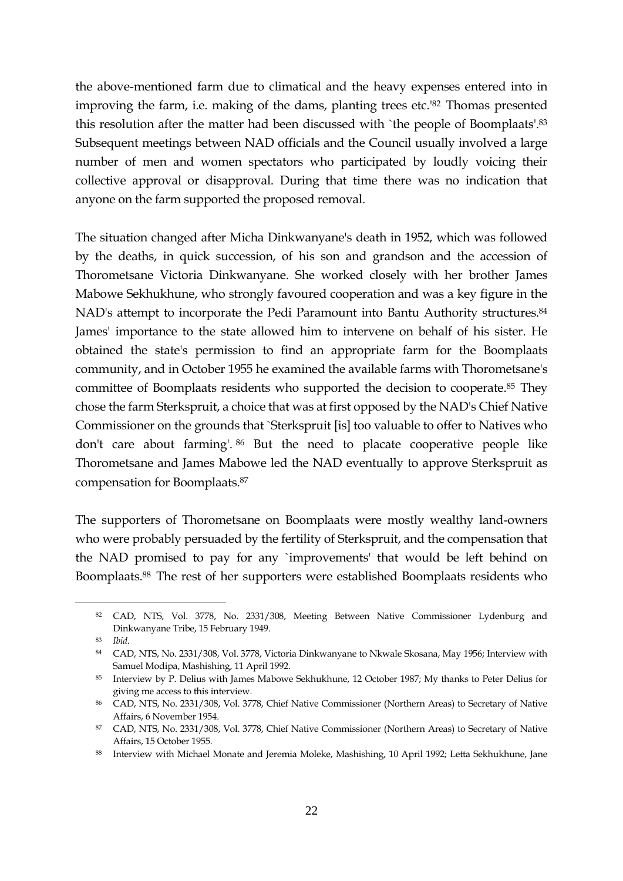the above-mentioned farm due to climatical and the heavy expenses entered into in improving the farm, i.e. making of the dams, planting trees etc.'<sup>82</sup> Thomas presented this resolution after the matter had been discussed with `the people of Boomplaats'.<sup>83</sup> Subsequent meetings between NAD officials and the Council usually involved a large number of men and women spectators who participated by loudly voicing their collective approval or disapproval. During that time there was no indication that anyone on the farm supported the proposed removal.

The situation changed after Micha Dinkwanyane's death in 1952, which was followed by the deaths, in quick succession, of his son and grandson and the accession of Thorometsane Victoria Dinkwanyane. She worked closely with her brother James Mabowe Sekhukhune, who strongly favoured cooperation and was a key figure in the NAD's attempt to incorporate the Pedi Paramount into Bantu Authority structures.<sup>84</sup> James' importance to the state allowed him to intervene on behalf of his sister. He obtained the state's permission to find an appropriate farm for the Boomplaats community, and in October 1955 he examined the available farms with Thorometsane's committee of Boomplaats residents who supported the decision to cooperate.<sup>85</sup> They chose the farm Sterkspruit, a choice that was at first opposed by the NAD's Chief Native Commissioner on the grounds that `Sterkspruit [is] too valuable to offer to Natives who don't care about farming'. <sup>86</sup> But the need to placate cooperative people like Thorometsane and James Mabowe led the NAD eventually to approve Sterkspruit as compensation for Boomplaats.<sup>87</sup>

The supporters of Thorometsane on Boomplaats were mostly wealthy land-owners who were probably persuaded by the fertility of Sterkspruit, and the compensation that the NAD promised to pay for any `improvements' that would be left behind on Boomplaats.<sup>88</sup> The rest of her supporters were established Boomplaats residents who

<sup>82</sup> CAD, NTS, Vol. 3778, No. 2331/308, Meeting Between Native Commissioner Lydenburg and Dinkwanyane Tribe, 15 February 1949.

<sup>83</sup> *Ibid*.

<sup>84</sup> CAD, NTS, No. 2331/308, Vol. 3778, Victoria Dinkwanyane to Nkwale Skosana, May 1956; Interview with Samuel Modipa, Mashishing, 11 April 1992.

<sup>85</sup> Interview by P. Delius with James Mabowe Sekhukhune, 12 October 1987; My thanks to Peter Delius for giving me access to this interview.

<sup>86</sup> CAD, NTS, No. 2331/308, Vol. 3778, Chief Native Commissioner (Northern Areas) to Secretary of Native Affairs, 6 November 1954.

<sup>87</sup> CAD, NTS, No. 2331/308, Vol. 3778, Chief Native Commissioner (Northern Areas) to Secretary of Native Affairs, 15 October 1955.

<sup>88</sup> Interview with Michael Monate and Jeremia Moleke, Mashishing, 10 April 1992; Letta Sekhukhune, Jane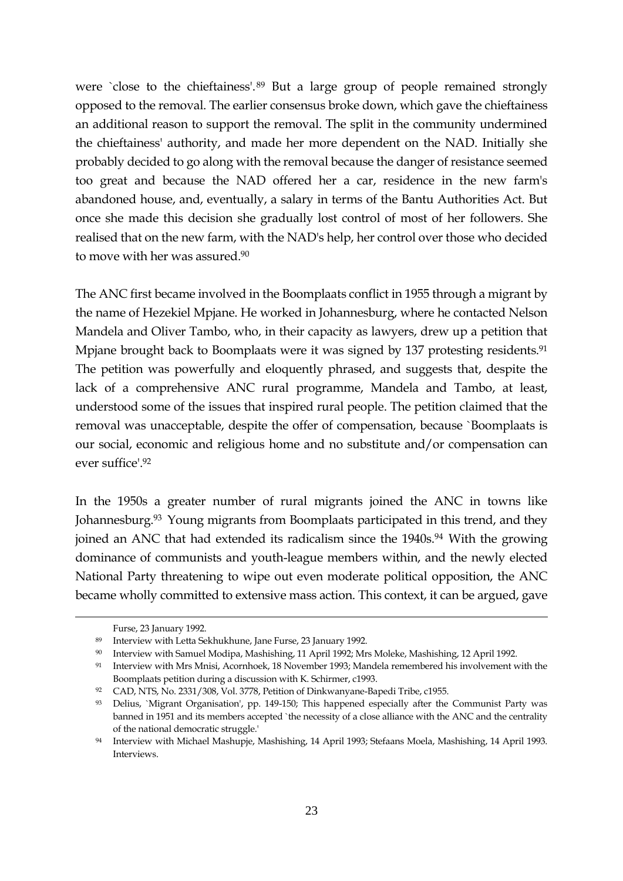were `close to the chieftainess'.<sup>89</sup> But a large group of people remained strongly opposed to the removal. The earlier consensus broke down, which gave the chieftainess an additional reason to support the removal. The split in the community undermined the chieftainess' authority, and made her more dependent on the NAD. Initially she probably decided to go along with the removal because the danger of resistance seemed too great and because the NAD offered her a car, residence in the new farm's abandoned house, and, eventually, a salary in terms of the Bantu Authorities Act. But once she made this decision she gradually lost control of most of her followers. She realised that on the new farm, with the NAD's help, her control over those who decided to move with her was assured.<sup>90</sup>

The ANC first became involved in the Boomplaats conflict in 1955 through a migrant by the name of Hezekiel Mpjane. He worked in Johannesburg, where he contacted Nelson Mandela and Oliver Tambo, who, in their capacity as lawyers, drew up a petition that Mpjane brought back to Boomplaats were it was signed by 137 protesting residents.<sup>91</sup> The petition was powerfully and eloquently phrased, and suggests that, despite the lack of a comprehensive ANC rural programme, Mandela and Tambo, at least, understood some of the issues that inspired rural people. The petition claimed that the removal was unacceptable, despite the offer of compensation, because `Boomplaats is our social, economic and religious home and no substitute and/or compensation can ever suffice'.<sup>92</sup>

In the 1950s a greater number of rural migrants joined the ANC in towns like Johannesburg.<sup>93</sup> Young migrants from Boomplaats participated in this trend, and they joined an ANC that had extended its radicalism since the 1940s.<sup>94</sup> With the growing dominance of communists and youth-league members within, and the newly elected National Party threatening to wipe out even moderate political opposition, the ANC became wholly committed to extensive mass action. This context, it can be argued, gave

-

Furse, 23 January 1992.

<sup>89</sup> Interview with Letta Sekhukhune, Jane Furse, 23 January 1992.

<sup>90</sup> Interview with Samuel Modipa, Mashishing, 11 April 1992; Mrs Moleke, Mashishing, 12 April 1992.

<sup>91</sup> Interview with Mrs Mnisi, Acornhoek, 18 November 1993; Mandela remembered his involvement with the Boomplaats petition during a discussion with K. Schirmer, c1993.

<sup>92</sup> CAD, NTS, No. 2331/308, Vol. 3778, Petition of Dinkwanyane-Bapedi Tribe, c1955.

<sup>93</sup> Delius, `Migrant Organisation', pp. 149-150; This happened especially after the Communist Party was banned in 1951 and its members accepted `the necessity of a close alliance with the ANC and the centrality of the national democratic struggle.'

<sup>94</sup> Interview with Michael Mashupje, Mashishing, 14 April 1993; Stefaans Moela, Mashishing, 14 April 1993. Interviews.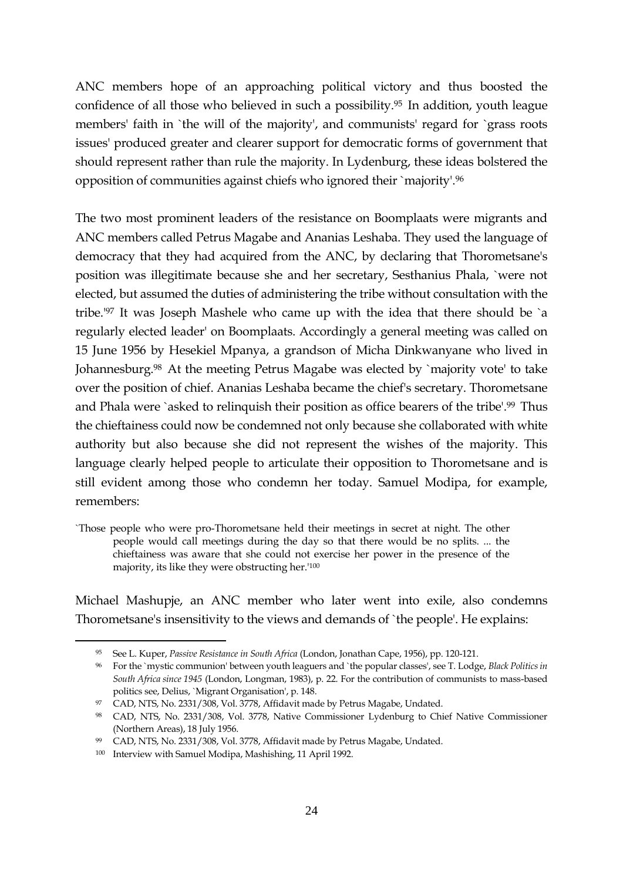ANC members hope of an approaching political victory and thus boosted the confidence of all those who believed in such a possibility.<sup>95</sup> In addition, youth league members' faith in `the will of the majority', and communists' regard for `grass roots issues' produced greater and clearer support for democratic forms of government that should represent rather than rule the majority. In Lydenburg, these ideas bolstered the opposition of communities against chiefs who ignored their `majority'.<sup>96</sup>

The two most prominent leaders of the resistance on Boomplaats were migrants and ANC members called Petrus Magabe and Ananias Leshaba. They used the language of democracy that they had acquired from the ANC, by declaring that Thorometsane's position was illegitimate because she and her secretary, Sesthanius Phala, `were not elected, but assumed the duties of administering the tribe without consultation with the tribe.'<sup>97</sup> It was Joseph Mashele who came up with the idea that there should be `a regularly elected leader' on Boomplaats. Accordingly a general meeting was called on 15 June 1956 by Hesekiel Mpanya, a grandson of Micha Dinkwanyane who lived in Johannesburg.<sup>98</sup> At the meeting Petrus Magabe was elected by `majority vote' to take over the position of chief. Ananias Leshaba became the chief's secretary. Thorometsane and Phala were `asked to relinquish their position as office bearers of the tribe'.<sup>99</sup> Thus the chieftainess could now be condemned not only because she collaborated with white authority but also because she did not represent the wishes of the majority. This language clearly helped people to articulate their opposition to Thorometsane and is still evident among those who condemn her today. Samuel Modipa, for example, remembers:

`Those people who were pro-Thorometsane held their meetings in secret at night. The other people would call meetings during the day so that there would be no splits. ... the chieftainess was aware that she could not exercise her power in the presence of the majority, its like they were obstructing her.'<sup>100</sup>

Michael Mashupje, an ANC member who later went into exile, also condemns Thorometsane's insensitivity to the views and demands of `the people'. He explains:

<sup>95</sup> See L. Kuper, *Passive Resistance in South Africa* (London, Jonathan Cape, 1956), pp. 120-121.

<sup>96</sup> For the `mystic communion' between youth leaguers and `the popular classes', see T. Lodge, *Black Politics in South Africa since 1945* (London, Longman, 1983), p. 22. For the contribution of communists to mass-based politics see, Delius, `Migrant Organisation', p. 148.

<sup>97</sup> CAD, NTS, No. 2331/308, Vol. 3778, Affidavit made by Petrus Magabe, Undated.

<sup>98</sup> CAD, NTS, No. 2331/308, Vol. 3778, Native Commissioner Lydenburg to Chief Native Commissioner (Northern Areas), 18 July 1956.

<sup>99</sup> CAD, NTS, No. 2331/308, Vol. 3778, Affidavit made by Petrus Magabe, Undated.

<sup>100</sup> Interview with Samuel Modipa, Mashishing, 11 April 1992.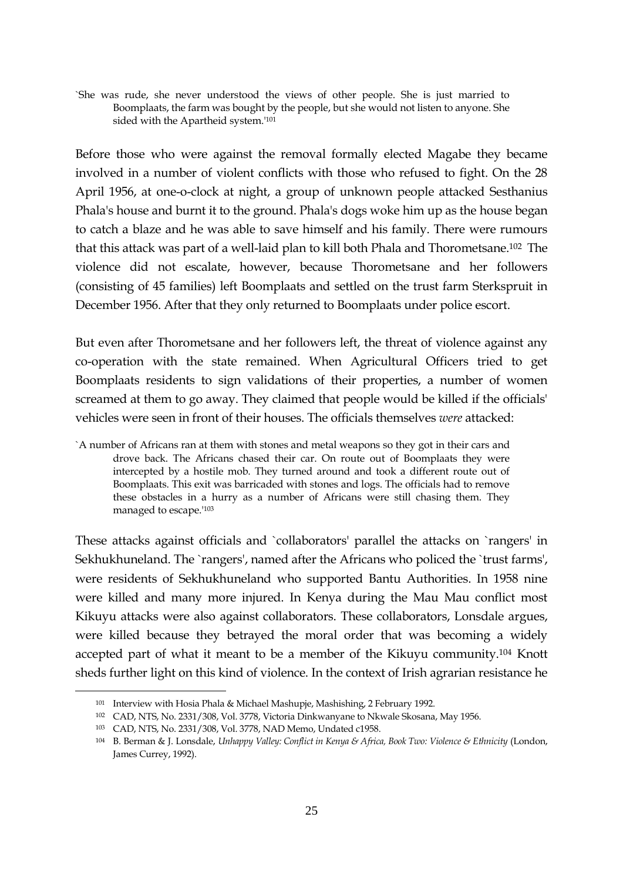`She was rude, she never understood the views of other people. She is just married to Boomplaats, the farm was bought by the people, but she would not listen to anyone. She sided with the Apartheid system.'<sup>101</sup>

Before those who were against the removal formally elected Magabe they became involved in a number of violent conflicts with those who refused to fight. On the 28 April 1956, at one-o-clock at night, a group of unknown people attacked Sesthanius Phala's house and burnt it to the ground. Phala's dogs woke him up as the house began to catch a blaze and he was able to save himself and his family. There were rumours that this attack was part of a well-laid plan to kill both Phala and Thorometsane.<sup>102</sup> The violence did not escalate, however, because Thorometsane and her followers (consisting of 45 families) left Boomplaats and settled on the trust farm Sterkspruit in December 1956. After that they only returned to Boomplaats under police escort.

But even after Thorometsane and her followers left, the threat of violence against any co-operation with the state remained. When Agricultural Officers tried to get Boomplaats residents to sign validations of their properties, a number of women screamed at them to go away. They claimed that people would be killed if the officials' vehicles were seen in front of their houses. The officials themselves *were* attacked:

These attacks against officials and `collaborators' parallel the attacks on `rangers' in Sekhukhuneland. The `rangers', named after the Africans who policed the `trust farms', were residents of Sekhukhuneland who supported Bantu Authorities. In 1958 nine were killed and many more injured. In Kenya during the Mau Mau conflict most Kikuyu attacks were also against collaborators. These collaborators, Lonsdale argues, were killed because they betrayed the moral order that was becoming a widely accepted part of what it meant to be a member of the Kikuyu community.<sup>104</sup> Knott sheds further light on this kind of violence. In the context of Irish agrarian resistance he

<sup>`</sup>A number of Africans ran at them with stones and metal weapons so they got in their cars and drove back. The Africans chased their car. On route out of Boomplaats they were intercepted by a hostile mob. They turned around and took a different route out of Boomplaats. This exit was barricaded with stones and logs. The officials had to remove these obstacles in a hurry as a number of Africans were still chasing them. They managed to escape.'<sup>103</sup>

<sup>101</sup> Interview with Hosia Phala & Michael Mashupje, Mashishing, 2 February 1992.

<sup>102</sup> CAD, NTS, No. 2331/308, Vol. 3778, Victoria Dinkwanyane to Nkwale Skosana, May 1956.

<sup>103</sup> CAD, NTS, No. 2331/308, Vol. 3778, NAD Memo, Undated c1958.

<sup>104</sup> B. Berman & J. Lonsdale, *Unhappy Valley: Conflict in Kenya & Africa, Book Two: Violence & Ethnicity* (London, James Currey, 1992).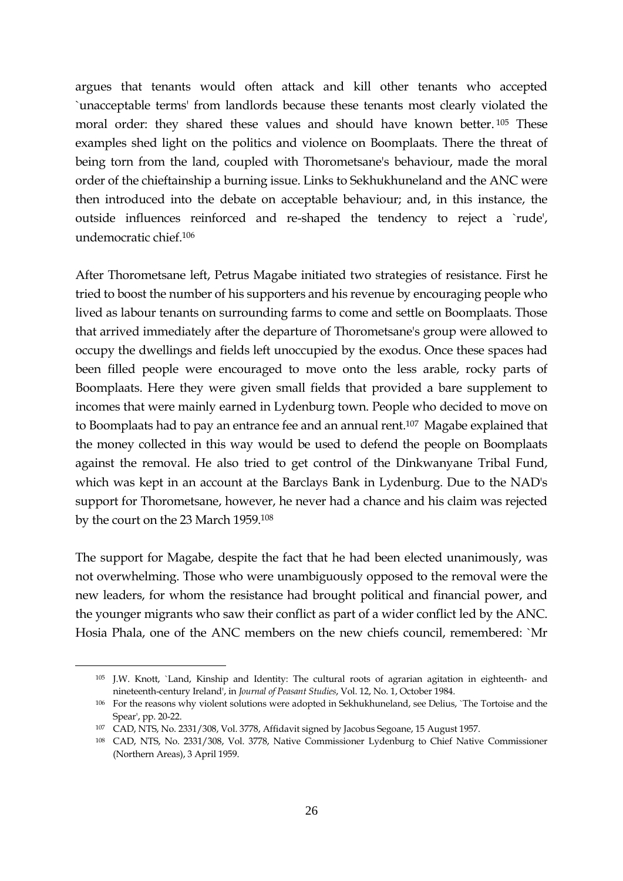argues that tenants would often attack and kill other tenants who accepted `unacceptable terms' from landlords because these tenants most clearly violated the moral order: they shared these values and should have known better.<sup>105</sup> These examples shed light on the politics and violence on Boomplaats. There the threat of being torn from the land, coupled with Thorometsane's behaviour, made the moral order of the chieftainship a burning issue. Links to Sekhukhuneland and the ANC were then introduced into the debate on acceptable behaviour; and, in this instance, the outside influences reinforced and re-shaped the tendency to reject a `rude', undemocratic chief.<sup>106</sup>

After Thorometsane left, Petrus Magabe initiated two strategies of resistance. First he tried to boost the number of his supporters and his revenue by encouraging people who lived as labour tenants on surrounding farms to come and settle on Boomplaats. Those that arrived immediately after the departure of Thorometsane's group were allowed to occupy the dwellings and fields left unoccupied by the exodus. Once these spaces had been filled people were encouraged to move onto the less arable, rocky parts of Boomplaats. Here they were given small fields that provided a bare supplement to incomes that were mainly earned in Lydenburg town. People who decided to move on to Boomplaats had to pay an entrance fee and an annual rent.<sup>107</sup> Magabe explained that the money collected in this way would be used to defend the people on Boomplaats against the removal. He also tried to get control of the Dinkwanyane Tribal Fund, which was kept in an account at the Barclays Bank in Lydenburg. Due to the NAD's support for Thorometsane, however, he never had a chance and his claim was rejected by the court on the 23 March 1959.<sup>108</sup>

The support for Magabe, despite the fact that he had been elected unanimously, was not overwhelming. Those who were unambiguously opposed to the removal were the new leaders, for whom the resistance had brought political and financial power, and the younger migrants who saw their conflict as part of a wider conflict led by the ANC. Hosia Phala, one of the ANC members on the new chiefs council, remembered: `Mr

<sup>105</sup> J.W. Knott, `Land, Kinship and Identity: The cultural roots of agrarian agitation in eighteenth- and nineteenth-century Ireland', in *Journal of Peasant Studies*, Vol. 12, No. 1, October 1984.

<sup>106</sup> For the reasons why violent solutions were adopted in Sekhukhuneland, see Delius, `The Tortoise and the Spear', pp. 20-22.

<sup>107</sup> CAD, NTS, No. 2331/308, Vol. 3778, Affidavit signed by Jacobus Segoane, 15 August 1957.

<sup>108</sup> CAD, NTS, No. 2331/308, Vol. 3778, Native Commissioner Lydenburg to Chief Native Commissioner (Northern Areas), 3 April 1959.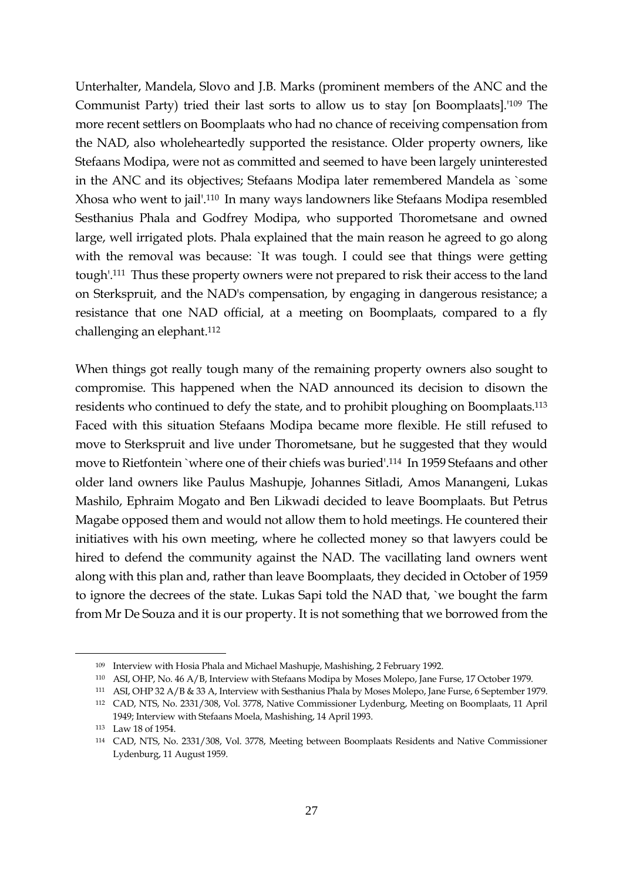Unterhalter, Mandela, Slovo and J.B. Marks (prominent members of the ANC and the Communist Party) tried their last sorts to allow us to stay [on Boomplaats].'<sup>109</sup> The more recent settlers on Boomplaats who had no chance of receiving compensation from the NAD, also wholeheartedly supported the resistance. Older property owners, like Stefaans Modipa, were not as committed and seemed to have been largely uninterested in the ANC and its objectives; Stefaans Modipa later remembered Mandela as `some Xhosa who went to jail'.<sup>110</sup> In many ways landowners like Stefaans Modipa resembled Sesthanius Phala and Godfrey Modipa, who supported Thorometsane and owned large, well irrigated plots. Phala explained that the main reason he agreed to go along with the removal was because: `It was tough. I could see that things were getting tough'.<sup>111</sup> Thus these property owners were not prepared to risk their access to the land on Sterkspruit, and the NAD's compensation, by engaging in dangerous resistance; a resistance that one NAD official, at a meeting on Boomplaats, compared to a fly challenging an elephant.<sup>112</sup>

When things got really tough many of the remaining property owners also sought to compromise. This happened when the NAD announced its decision to disown the residents who continued to defy the state, and to prohibit ploughing on Boomplaats.<sup>113</sup> Faced with this situation Stefaans Modipa became more flexible. He still refused to move to Sterkspruit and live under Thorometsane, but he suggested that they would move to Rietfontein `where one of their chiefs was buried'.<sup>114</sup> In 1959 Stefaans and other older land owners like Paulus Mashupje, Johannes Sitladi, Amos Manangeni, Lukas Mashilo, Ephraim Mogato and Ben Likwadi decided to leave Boomplaats. But Petrus Magabe opposed them and would not allow them to hold meetings. He countered their initiatives with his own meeting, where he collected money so that lawyers could be hired to defend the community against the NAD. The vacillating land owners went along with this plan and, rather than leave Boomplaats, they decided in October of 1959 to ignore the decrees of the state. Lukas Sapi told the NAD that, `we bought the farm from Mr De Souza and it is our property. It is not something that we borrowed from the

<sup>109</sup> Interview with Hosia Phala and Michael Mashupje, Mashishing, 2 February 1992.

<sup>110</sup> ASI, OHP, No. 46 A/B, Interview with Stefaans Modipa by Moses Molepo, Jane Furse, 17 October 1979.

<sup>111</sup> ASI, OHP 32 A/B & 33 A, Interview with Sesthanius Phala by Moses Molepo, Jane Furse, 6 September 1979.

<sup>112</sup> CAD, NTS, No. 2331/308, Vol. 3778, Native Commissioner Lydenburg, Meeting on Boomplaats, 11 April 1949; Interview with Stefaans Moela, Mashishing, 14 April 1993.

<sup>113</sup> Law 18 of 1954.

<sup>114</sup> CAD, NTS, No. 2331/308, Vol. 3778, Meeting between Boomplaats Residents and Native Commissioner Lydenburg, 11 August 1959.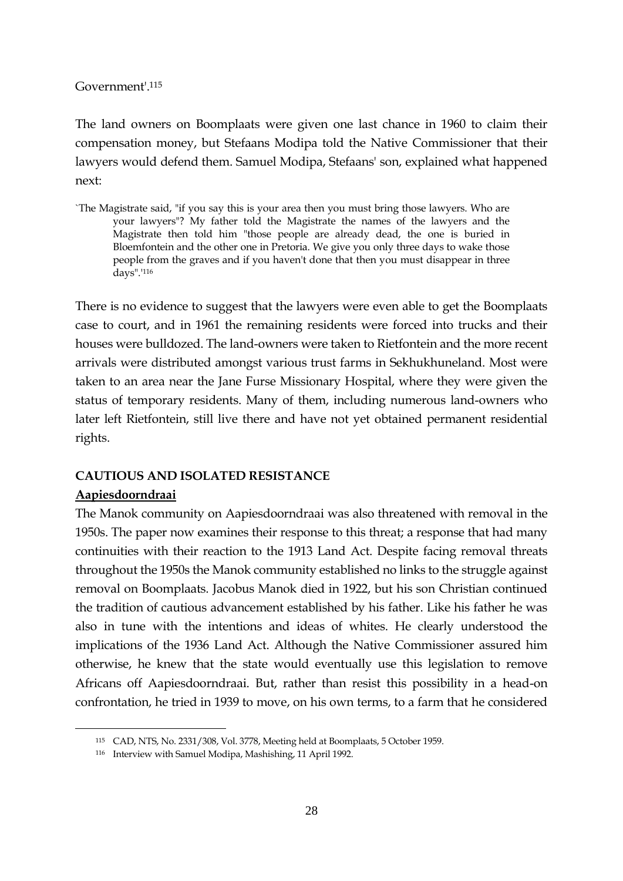#### Government'.<sup>115</sup>

The land owners on Boomplaats were given one last chance in 1960 to claim their compensation money, but Stefaans Modipa told the Native Commissioner that their lawyers would defend them. Samuel Modipa, Stefaans' son, explained what happened next:

`The Magistrate said, "if you say this is your area then you must bring those lawyers. Who are your lawyers"? My father told the Magistrate the names of the lawyers and the Magistrate then told him "those people are already dead, the one is buried in Bloemfontein and the other one in Pretoria. We give you only three days to wake those people from the graves and if you haven't done that then you must disappear in three days".'<sup>116</sup>

There is no evidence to suggest that the lawyers were even able to get the Boomplaats case to court, and in 1961 the remaining residents were forced into trucks and their houses were bulldozed. The land-owners were taken to Rietfontein and the more recent arrivals were distributed amongst various trust farms in Sekhukhuneland. Most were taken to an area near the Jane Furse Missionary Hospital, where they were given the status of temporary residents. Many of them, including numerous land-owners who later left Rietfontein, still live there and have not yet obtained permanent residential rights.

## **CAUTIOUS AND ISOLATED RESISTANCE**

## **Aapiesdoorndraai**

1

The Manok community on Aapiesdoorndraai was also threatened with removal in the 1950s. The paper now examines their response to this threat; a response that had many continuities with their reaction to the 1913 Land Act. Despite facing removal threats throughout the 1950s the Manok community established no links to the struggle against removal on Boomplaats. Jacobus Manok died in 1922, but his son Christian continued the tradition of cautious advancement established by his father. Like his father he was also in tune with the intentions and ideas of whites. He clearly understood the implications of the 1936 Land Act. Although the Native Commissioner assured him otherwise, he knew that the state would eventually use this legislation to remove Africans off Aapiesdoorndraai. But, rather than resist this possibility in a head-on confrontation, he tried in 1939 to move, on his own terms, to a farm that he considered

<sup>115</sup> CAD, NTS, No. 2331/308, Vol. 3778, Meeting held at Boomplaats, 5 October 1959.

<sup>116</sup> Interview with Samuel Modipa, Mashishing, 11 April 1992.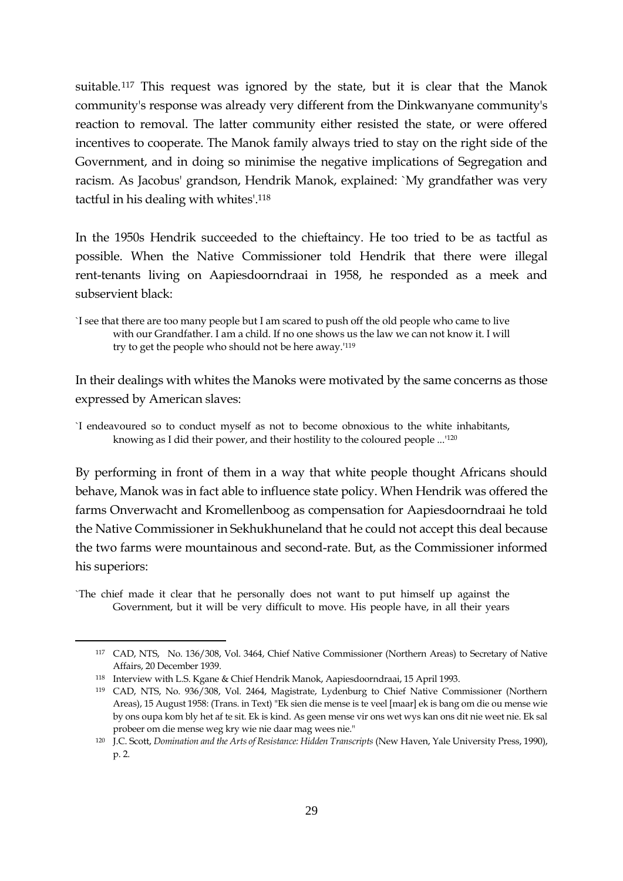suitable.<sup>117</sup> This request was ignored by the state, but it is clear that the Manok community's response was already very different from the Dinkwanyane community's reaction to removal. The latter community either resisted the state, or were offered incentives to cooperate. The Manok family always tried to stay on the right side of the Government, and in doing so minimise the negative implications of Segregation and racism. As Jacobus' grandson, Hendrik Manok, explained: `My grandfather was very tactful in his dealing with whites'.<sup>118</sup>

In the 1950s Hendrik succeeded to the chieftaincy. He too tried to be as tactful as possible. When the Native Commissioner told Hendrik that there were illegal rent-tenants living on Aapiesdoorndraai in 1958, he responded as a meek and subservient black:

In their dealings with whites the Manoks were motivated by the same concerns as those expressed by American slaves:

`I endeavoured so to conduct myself as not to become obnoxious to the white inhabitants, knowing as I did their power, and their hostility to the coloured people ...'<sup>120</sup>

By performing in front of them in a way that white people thought Africans should behave, Manok was in fact able to influence state policy. When Hendrik was offered the farms Onverwacht and Kromellenboog as compensation for Aapiesdoorndraai he told the Native Commissioner in Sekhukhuneland that he could not accept this deal because the two farms were mountainous and second-rate. But, as the Commissioner informed his superiors:

`The chief made it clear that he personally does not want to put himself up against the Government, but it will be very difficult to move. His people have, in all their years

<sup>`</sup>I see that there are too many people but I am scared to push off the old people who came to live with our Grandfather. I am a child. If no one shows us the law we can not know it. I will try to get the people who should not be here away.'<sup>119</sup>

<sup>117</sup> CAD, NTS, No. 136/308, Vol. 3464, Chief Native Commissioner (Northern Areas) to Secretary of Native Affairs, 20 December 1939.

<sup>118</sup> Interview with L.S. Kgane & Chief Hendrik Manok, Aapiesdoorndraai, 15 April 1993.

<sup>119</sup> CAD, NTS, No. 936/308, Vol. 2464, Magistrate, Lydenburg to Chief Native Commissioner (Northern Areas), 15 August 1958: (Trans. in Text) "Ek sien die mense is te veel [maar] ek is bang om die ou mense wie by ons oupa kom bly het af te sit. Ek is kind. As geen mense vir ons wet wys kan ons dit nie weet nie. Ek sal probeer om die mense weg kry wie nie daar mag wees nie."

<sup>120</sup> J.C. Scott, *Domination and the Arts of Resistance: Hidden Transcripts* (New Haven, Yale University Press, 1990), p. 2.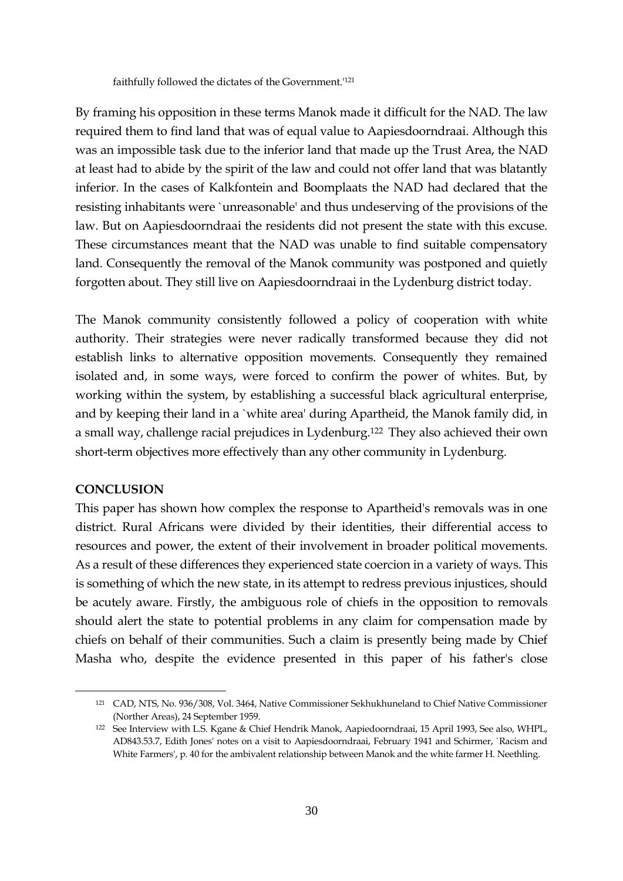faithfully followed the dictates of the Government.'<sup>121</sup>

By framing his opposition in these terms Manok made it difficult for the NAD. The law required them to find land that was of equal value to Aapiesdoorndraai. Although this was an impossible task due to the inferior land that made up the Trust Area, the NAD at least had to abide by the spirit of the law and could not offer land that was blatantly inferior. In the cases of Kalkfontein and Boomplaats the NAD had declared that the resisting inhabitants were `unreasonable' and thus undeserving of the provisions of the law. But on Aapiesdoorndraai the residents did not present the state with this excuse. These circumstances meant that the NAD was unable to find suitable compensatory land. Consequently the removal of the Manok community was postponed and quietly forgotten about. They still live on Aapiesdoorndraai in the Lydenburg district today.

The Manok community consistently followed a policy of cooperation with white authority. Their strategies were never radically transformed because they did not establish links to alternative opposition movements. Consequently they remained isolated and, in some ways, were forced to confirm the power of whites. But, by working within the system, by establishing a successful black agricultural enterprise, and by keeping their land in a `white area' during Apartheid, the Manok family did, in a small way, challenge racial prejudices in Lydenburg.<sup>122</sup> They also achieved their own short-term objectives more effectively than any other community in Lydenburg.

#### **CONCLUSION**

1

This paper has shown how complex the response to Apartheid's removals was in one district. Rural Africans were divided by their identities, their differential access to resources and power, the extent of their involvement in broader political movements. As a result of these differences they experienced state coercion in a variety of ways. This is something of which the new state, in its attempt to redress previous injustices, should be acutely aware. Firstly, the ambiguous role of chiefs in the opposition to removals should alert the state to potential problems in any claim for compensation made by chiefs on behalf of their communities. Such a claim is presently being made by Chief Masha who, despite the evidence presented in this paper of his father's close

<sup>121</sup> CAD, NTS, No. 936/308, Vol. 3464, Native Commissioner Sekhukhuneland to Chief Native Commissioner (Norther Areas), 24 September 1959.

<sup>122</sup> See Interview with L.S. Kgane & Chief Hendrik Manok, Aapiedoorndraai, 15 April 1993, See also, WHPL, AD843.53.7, Edith Jones' notes on a visit to Aapiesdoorndraai, February 1941 and Schirmer, `Racism and White Farmers', p. 40 for the ambivalent relationship between Manok and the white farmer H. Neethling.